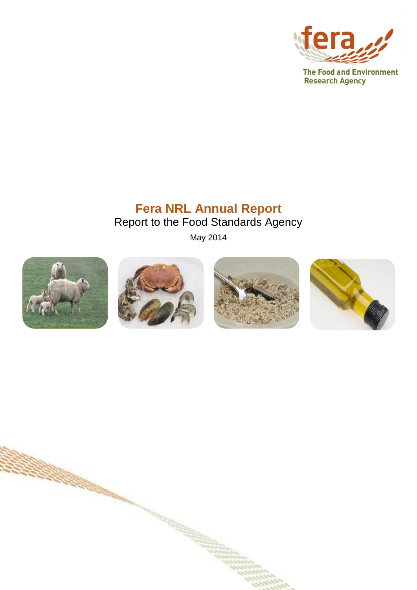

## **Fera NRL Annual Report** Report to the Food Standards Agency

May 2014



**CONTRACTOR**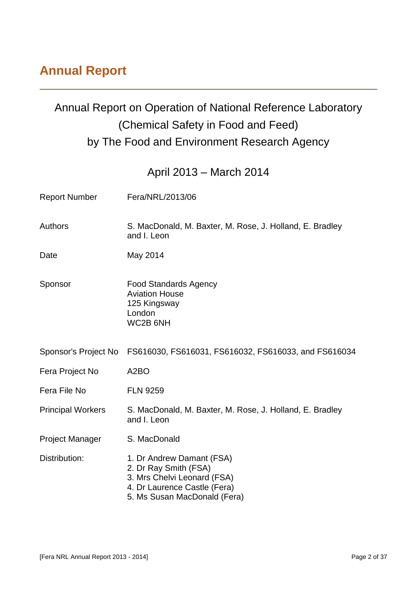## **Annual Report**

## Annual Report on Operation of National Reference Laboratory (Chemical Safety in Food and Feed) by The Food and Environment Research Agency

April 2013 – March 2014

| <b>Report Number</b>     | Fera/NRL/2013/06                                                                                                                                  |
|--------------------------|---------------------------------------------------------------------------------------------------------------------------------------------------|
| <b>Authors</b>           | S. MacDonald, M. Baxter, M. Rose, J. Holland, E. Bradley<br>and I. Leon                                                                           |
| Date                     | May 2014                                                                                                                                          |
| Sponsor                  | <b>Food Standards Agency</b><br><b>Aviation House</b><br>125 Kingsway<br>London<br>WC2B 6NH                                                       |
| Sponsor's Project No     | FS616030, FS616031, FS616032, FS616033, and FS616034                                                                                              |
| Fera Project No          | A <sub>2</sub> BO                                                                                                                                 |
| Fera File No             | <b>FLN 9259</b>                                                                                                                                   |
| <b>Principal Workers</b> | S. MacDonald, M. Baxter, M. Rose, J. Holland, E. Bradley<br>and I. Leon                                                                           |
| <b>Project Manager</b>   | S. MacDonald                                                                                                                                      |
| Distribution:            | 1. Dr Andrew Damant (FSA)<br>2. Dr Ray Smith (FSA)<br>3. Mrs Chelvi Leonard (FSA)<br>4. Dr Laurence Castle (Fera)<br>5. Ms Susan MacDonald (Fera) |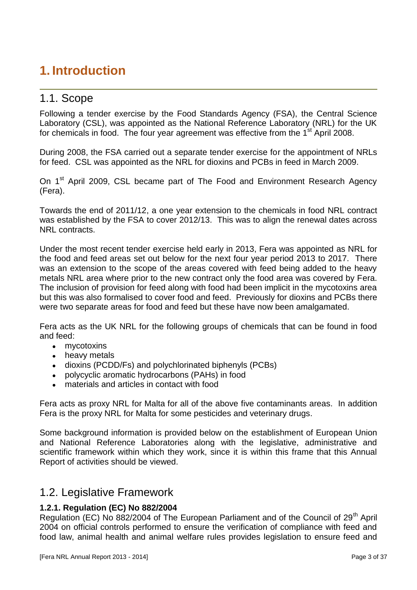## **1. Introduction**

## 1.1. Scope

Following a tender exercise by the Food Standards Agency (FSA), the Central Science Laboratory (CSL), was appointed as the National Reference Laboratory (NRL) for the UK for chemicals in food. The four year agreement was effective from the  $1<sup>st</sup>$  April 2008.

During 2008, the FSA carried out a separate tender exercise for the appointment of NRLs for feed. CSL was appointed as the NRL for dioxins and PCBs in feed in March 2009.

On 1<sup>st</sup> April 2009, CSL became part of The Food and Environment Research Agency (Fera).

Towards the end of 2011/12, a one year extension to the chemicals in food NRL contract was established by the FSA to cover 2012/13. This was to align the renewal dates across NRL contracts.

Under the most recent tender exercise held early in 2013, Fera was appointed as NRL for the food and feed areas set out below for the next four year period 2013 to 2017. There was an extension to the scope of the areas covered with feed being added to the heavy metals NRL area where prior to the new contract only the food area was covered by Fera. The inclusion of provision for feed along with food had been implicit in the mycotoxins area but this was also formalised to cover food and feed. Previously for dioxins and PCBs there were two separate areas for food and feed but these have now been amalgamated.

Fera acts as the UK NRL for the following groups of chemicals that can be found in food and feed:

- mycotoxins
- heavy metals  $\bullet$
- dioxins (PCDD/Fs) and polychlorinated biphenyls (PCBs)
- polycyclic aromatic hydrocarbons (PAHs) in food
- materials and articles in contact with food

Fera acts as proxy NRL for Malta for all of the above five contaminants areas. In addition Fera is the proxy NRL for Malta for some pesticides and veterinary drugs.

Some background information is provided below on the establishment of European Union and National Reference Laboratories along with the legislative, administrative and scientific framework within which they work, since it is within this frame that this Annual Report of activities should be viewed.

#### 1.2. Legislative Framework

#### **1.2.1. Regulation (EC) No 882/2004**

Regulation (EC) No 882/2004 of The European Parliament and of the Council of 29<sup>th</sup> April 2004 on official controls performed to ensure the verification of compliance with feed and food law, animal health and animal welfare rules provides legislation to ensure feed and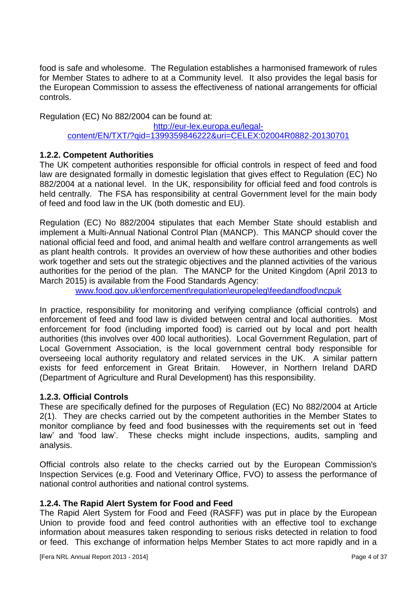food is safe and wholesome. The Regulation establishes a harmonised framework of rules for Member States to adhere to at a Community level. It also provides the legal basis for the European Commission to assess the effectiveness of national arrangements for official controls.

Regulation (EC) No 882/2004 can be found at:

[http://eur-lex.europa.eu/legal](http://eur-lex.europa.eu/legal-content/EN/TXT/?qid=1399359846222&uri=CELEX:02004R0882-20130701)[content/EN/TXT/?qid=1399359846222&uri=CELEX:02004R0882-20130701](http://eur-lex.europa.eu/legal-content/EN/TXT/?qid=1399359846222&uri=CELEX:02004R0882-20130701)

#### **1.2.2. Competent Authorities**

The UK competent authorities responsible for official controls in respect of feed and food law are designated formally in domestic legislation that gives effect to Regulation (EC) No 882/2004 at a national level. In the UK, responsibility for official feed and food controls is held centrally. The FSA has responsibility at central Government level for the main body of feed and food law in the UK (both domestic and EU).

Regulation (EC) No 882/2004 stipulates that each Member State should establish and implement a Multi-Annual National Control Plan (MANCP). This MANCP should cover the national official feed and food, and animal health and welfare control arrangements as well as plant health controls. It provides an overview of how these authorities and other bodies work together and sets out the strategic objectives and the planned activities of the various authorities for the period of the plan. The MANCP for the United Kingdom (April 2013 to March 2015) is available from the Food Standards Agency:

[www.food.gov.uk\enforcement\regulation\europeleg\feedandfood\ncpuk](http://www.food.gov.uk/enforcement/regulation/europeleg/feedandfood/ncpuk)

In practice, responsibility for monitoring and verifying compliance (official controls) and enforcement of feed and food law is divided between central and local authorities. Most enforcement for food (including imported food) is carried out by local and port health authorities (this involves over 400 local authorities). Local Government Regulation, part of Local Government Association, is the local government central body responsible for overseeing local authority regulatory and related services in the UK. A similar pattern exists for feed enforcement in Great Britain. However, in Northern Ireland DARD (Department of Agriculture and Rural Development) has this responsibility.

#### **1.2.3. Official Controls**

These are specifically defined for the purposes of Regulation (EC) No 882/2004 at Article 2(1). They are checks carried out by the competent authorities in the Member States to monitor compliance by feed and food businesses with the requirements set out in 'feed law' and 'food law'. These checks might include inspections, audits, sampling and analysis.

Official controls also relate to the checks carried out by the European Commission's Inspection Services (e.g. Food and Veterinary Office, FVO) to assess the performance of national control authorities and national control systems.

#### **1.2.4. The Rapid Alert System for Food and Feed**

The Rapid Alert System for Food and Feed (RASFF) was put in place by the European Union to provide food and feed control authorities with an effective tool to exchange information about measures taken responding to serious risks detected in relation to food or feed. This exchange of information helps Member States to act more rapidly and in a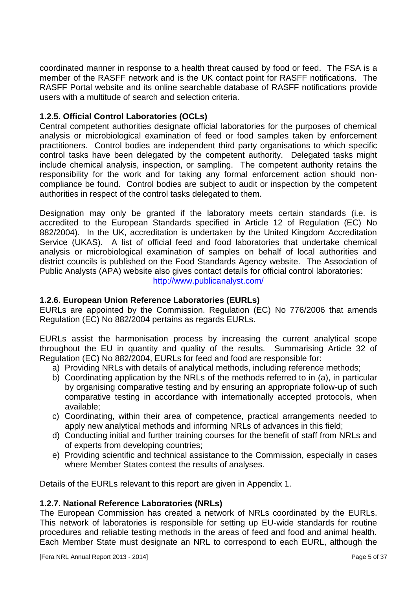coordinated manner in response to a health threat caused by food or feed. The FSA is a member of the RASFF network and is the UK contact point for RASFF notifications. The RASFF Portal website and its online searchable database of RASFF notifications provide users with a multitude of search and selection criteria.

#### **1.2.5. Official Control Laboratories (OCLs)**

Central competent authorities designate official laboratories for the purposes of chemical analysis or microbiological examination of feed or food samples taken by enforcement practitioners. Control bodies are independent third party organisations to which specific control tasks have been delegated by the competent authority. Delegated tasks might include chemical analysis, inspection, or sampling. The competent authority retains the responsibility for the work and for taking any formal enforcement action should noncompliance be found. Control bodies are subject to audit or inspection by the competent authorities in respect of the control tasks delegated to them.

Designation may only be granted if the laboratory meets certain standards (i.e. is accredited to the European Standards specified in Article 12 of Regulation (EC) No 882/2004). In the UK, accreditation is undertaken by the United Kingdom Accreditation Service (UKAS). A list of official feed and food laboratories that undertake chemical analysis or microbiological examination of samples on behalf of local authorities and district councils is published on the Food Standards Agency website. The Association of Public Analysts (APA) website also gives contact details for official control laboratories: <http://www.publicanalyst.com/>

#### **1.2.6. European Union Reference Laboratories (EURLs)**

EURLs are appointed by the Commission. Regulation (EC) No 776/2006 that amends Regulation (EC) No 882/2004 pertains as regards EURLs.

EURLs assist the harmonisation process by increasing the current analytical scope throughout the EU in quantity and quality of the results. Summarising Article 32 of Regulation (EC) No 882/2004, EURLs for feed and food are responsible for:

- a) Providing NRLs with details of analytical methods, including reference methods;
- b) Coordinating application by the NRLs of the methods referred to in (a), in particular by organising comparative testing and by ensuring an appropriate follow-up of such comparative testing in accordance with internationally accepted protocols, when available;
- c) Coordinating, within their area of competence, practical arrangements needed to apply new analytical methods and informing NRLs of advances in this field;
- d) Conducting initial and further training courses for the benefit of staff from NRLs and of experts from developing countries;
- e) Providing scientific and technical assistance to the Commission, especially in cases where Member States contest the results of analyses.

Details of the EURLs relevant to this report are given in Appendix 1.

#### **1.2.7. National Reference Laboratories (NRLs)**

The European Commission has created a network of NRLs coordinated by the EURLs. This network of laboratories is responsible for setting up EU-wide standards for routine procedures and reliable testing methods in the areas of feed and food and animal health. Each Member State must designate an NRL to correspond to each EURL, although the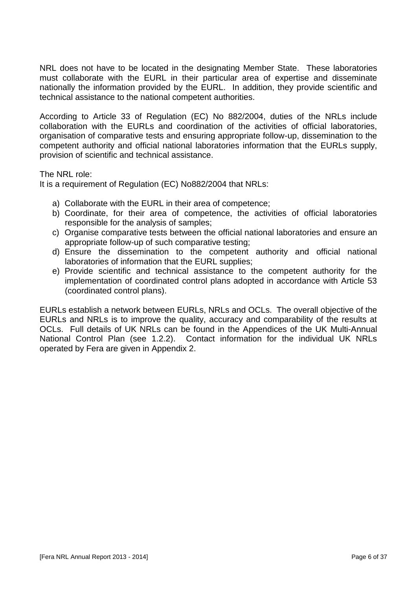NRL does not have to be located in the designating Member State. These laboratories must collaborate with the EURL in their particular area of expertise and disseminate nationally the information provided by the EURL. In addition, they provide scientific and technical assistance to the national competent authorities.

According to Article 33 of Regulation (EC) No 882/2004, duties of the NRLs include collaboration with the EURLs and coordination of the activities of official laboratories, organisation of comparative tests and ensuring appropriate follow-up, dissemination to the competent authority and official national laboratories information that the EURLs supply, provision of scientific and technical assistance.

The NRL role:

It is a requirement of Regulation (EC) No882/2004 that NRLs:

- a) Collaborate with the EURL in their area of competence;
- b) Coordinate, for their area of competence, the activities of official laboratories responsible for the analysis of samples;
- c) Organise comparative tests between the official national laboratories and ensure an appropriate follow-up of such comparative testing;
- d) Ensure the dissemination to the competent authority and official national laboratories of information that the EURL supplies;
- e) Provide scientific and technical assistance to the competent authority for the implementation of coordinated control plans adopted in accordance with Article 53 (coordinated control plans).

EURLs establish a network between EURLs, NRLs and OCLs. The overall objective of the EURLs and NRLs is to improve the quality, accuracy and comparability of the results at OCLs. Full details of UK NRLs can be found in the Appendices of the UK Multi-Annual National Control Plan (see 1.2.2). Contact information for the individual UK NRLs operated by Fera are given in Appendix 2.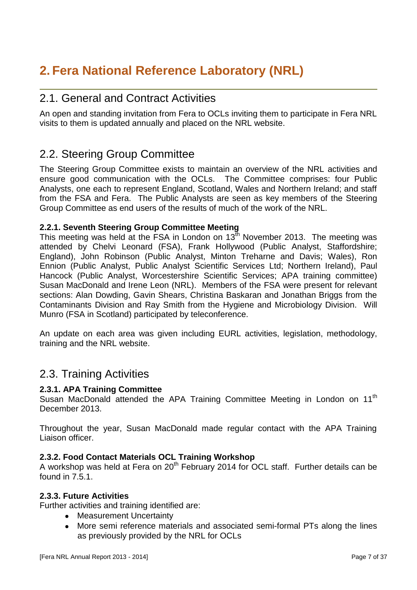## **2. Fera National Reference Laboratory (NRL)**

## 2.1. General and Contract Activities

An open and standing invitation from Fera to OCLs inviting them to participate in Fera NRL visits to them is updated annually and placed on the NRL website.

## 2.2. Steering Group Committee

The Steering Group Committee exists to maintain an overview of the NRL activities and ensure good communication with the OCLs. The Committee comprises: four Public Analysts, one each to represent England, Scotland, Wales and Northern Ireland; and staff from the FSA and Fera. The Public Analysts are seen as key members of the Steering Group Committee as end users of the results of much of the work of the NRL.

#### **2.2.1. Seventh Steering Group Committee Meeting**

This meeting was held at the FSA in London on  $13<sup>th</sup>$  November 2013. The meeting was attended by Chelvi Leonard (FSA), Frank Hollywood (Public Analyst, Staffordshire; England), John Robinson (Public Analyst, Minton Treharne and Davis; Wales), Ron Ennion (Public Analyst, Public Analyst Scientific Services Ltd; Northern Ireland), Paul Hancock (Public Analyst, Worcestershire Scientific Services; APA training committee) Susan MacDonald and Irene Leon (NRL). Members of the FSA were present for relevant sections: Alan Dowding, Gavin Shears, Christina Baskaran and Jonathan Briggs from the Contaminants Division and Ray Smith from the Hygiene and Microbiology Division. Will Munro (FSA in Scotland) participated by teleconference.

An update on each area was given including EURL activities, legislation, methodology, training and the NRL website.

## 2.3. Training Activities

#### **2.3.1. APA Training Committee**

Susan MacDonald attended the APA Training Committee Meeting in London on 11<sup>th</sup> December 2013.

Throughout the year, Susan MacDonald made regular contact with the APA Training Liaison officer.

#### **2.3.2. Food Contact Materials OCL Training Workshop**

A workshop was held at Fera on  $20<sup>th</sup>$  February 2014 for OCL staff. Further details can be found in 7.5.1.

#### **2.3.3. Future Activities**

Further activities and training identified are:

- Measurement Uncertainty
- More semi reference materials and associated semi-formal PTs along the lines as previously provided by the NRL for OCLs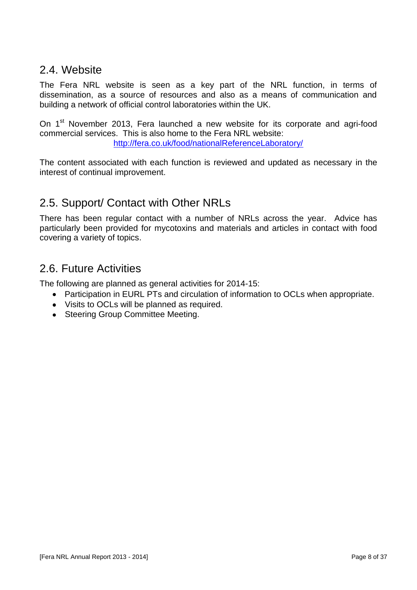## 2.4. Website

The Fera NRL website is seen as a key part of the NRL function, in terms of dissemination, as a source of resources and also as a means of communication and building a network of official control laboratories within the UK.

On 1<sup>st</sup> November 2013, Fera launched a new website for its corporate and agri-food commercial services. This is also home to the Fera NRL website:

<http://fera.co.uk/food/nationalReferenceLaboratory/>

The content associated with each function is reviewed and updated as necessary in the interest of continual improvement.

## 2.5. Support/ Contact with Other NRLs

There has been regular contact with a number of NRLs across the year. Advice has particularly been provided for mycotoxins and materials and articles in contact with food covering a variety of topics.

## 2.6. Future Activities

The following are planned as general activities for 2014-15:

- Participation in EURL PTs and circulation of information to OCLs when appropriate.
- Visits to OCLs will be planned as required.
- Steering Group Committee Meeting.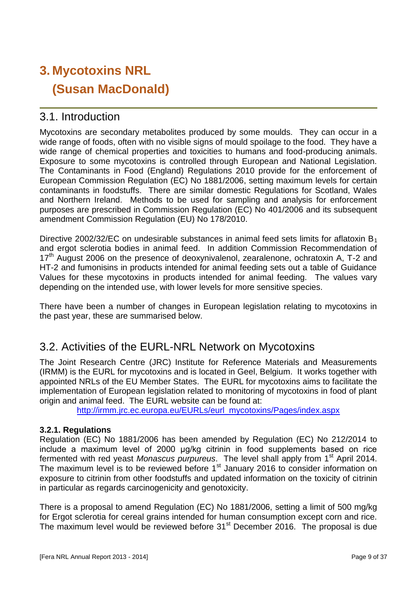# **3. Mycotoxins NRL (Susan MacDonald)**

## 3.1. Introduction

Mycotoxins are secondary metabolites produced by some moulds. They can occur in a wide range of foods, often with no visible signs of mould spoilage to the food. They have a wide range of chemical properties and toxicities to humans and food-producing animals. Exposure to some mycotoxins is controlled through European and National Legislation. The Contaminants in Food (England) Regulations 2010 provide for the enforcement of European Commission Regulation (EC) No 1881/2006, setting maximum levels for certain contaminants in foodstuffs. There are similar domestic Regulations for Scotland, Wales and Northern Ireland. Methods to be used for sampling and analysis for enforcement purposes are prescribed in Commission Regulation (EC) No 401/2006 and its subsequent amendment Commission Regulation (EU) No 178/2010.

Directive 2002/32/EC on undesirable substances in animal feed sets limits for aflatoxin B<sub>1</sub> and ergot sclerotia bodies in animal feed. In addition Commission Recommendation of  $17<sup>th</sup>$  August 2006 on the presence of deoxynivalenol, zearalenone, ochratoxin A, T-2 and HT-2 and fumonisins in products intended for animal feeding sets out a table of Guidance Values for these mycotoxins in products intended for animal feeding. The values vary depending on the intended use, with lower levels for more sensitive species.

There have been a number of changes in European legislation relating to mycotoxins in the past year, these are summarised below.

## 3.2. Activities of the EURL-NRL Network on Mycotoxins

The Joint Research Centre (JRC) Institute for Reference Materials and Measurements (IRMM) is the EURL for mycotoxins and is located in Geel, Belgium. It works together with appointed NRLs of the EU Member States. The EURL for mycotoxins aims to facilitate the implementation of European legislation related to monitoring of mycotoxins in food of plant origin and animal feed. The EURL website can be found at:

[http://irmm.jrc.ec.europa.eu/EURLs/eurl\\_mycotoxins/Pages/index.aspx](http://irmm.jrc.ec.europa.eu/EURLs/eurl_mycotoxins/Pages/index.aspx)

#### **3.2.1. Regulations**

Regulation (EC) No 1881/2006 has been amended by Regulation (EC) No 212/2014 to include a maximum level of 2000 μg/kg citrinin in food supplements based on rice fermented with red yeast Monascus purpureus. The level shall apply from 1<sup>st</sup> April 2014. The maximum level is to be reviewed before 1<sup>st</sup> January 2016 to consider information on exposure to citrinin from other foodstuffs and updated information on the toxicity of citrinin in particular as regards carcinogenicity and genotoxicity.

There is a proposal to amend Regulation (EC) No 1881/2006, setting a limit of 500 mg/kg for Ergot sclerotia for cereal grains intended for human consumption except corn and rice. The maximum level would be reviewed before 31<sup>st</sup> December 2016. The proposal is due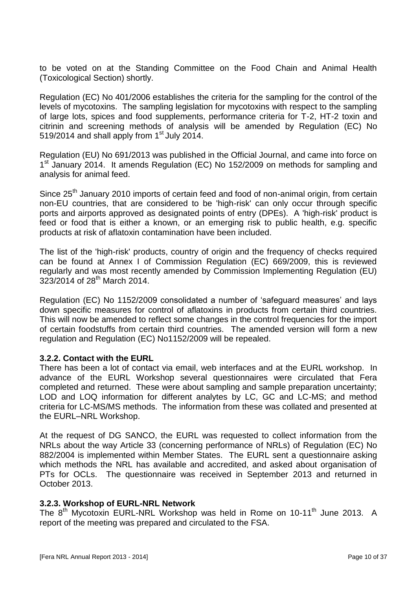to be voted on at the Standing Committee on the Food Chain and Animal Health (Toxicological Section) shortly.

Regulation (EC) No 401/2006 establishes the criteria for the sampling for the control of the levels of mycotoxins. The sampling legislation for mycotoxins with respect to the sampling of large lots, spices and food supplements, performance criteria for T-2, HT-2 toxin and citrinin and screening methods of analysis will be amended by Regulation (EC) No 519/2014 and shall apply from  $1<sup>st</sup>$  July 2014.

Regulation (EU) No 691/2013 was published in the Official Journal, and came into force on 1<sup>st</sup> January 2014. It amends Regulation (EC) No 152/2009 on methods for sampling and analysis for animal feed.

Since 25<sup>th</sup> January 2010 imports of certain feed and food of non-animal origin, from certain non-EU countries, that are considered to be 'high-risk' can only occur through specific ports and airports approved as designated points of entry (DPEs). A 'high-risk' product is feed or food that is either a known, or an emerging risk to public health, e.g. specific products at risk of aflatoxin contamination have been included.

The list of the 'high-risk' products, country of origin and the frequency of checks required can be found at Annex I of Commission Regulation (EC) 669/2009, this is reviewed regularly and was most recently amended by Commission Implementing Regulation (EU) 323/2014 of 28th March 2014.

Regulation (EC) No 1152/2009 consolidated a number of 'safeguard measures' and lays down specific measures for control of aflatoxins in products from certain third countries. This will now be amended to reflect some changes in the control frequencies for the import of certain foodstuffs from certain third countries. The amended version will form a new regulation and Regulation (EC) No1152/2009 will be repealed.

#### **3.2.2. Contact with the EURL**

There has been a lot of contact via email, web interfaces and at the EURL workshop. In advance of the EURL Workshop several questionnaires were circulated that Fera completed and returned. These were about sampling and sample preparation uncertainty; LOD and LOQ information for different analytes by LC, GC and LC-MS; and method criteria for LC-MS/MS methods. The information from these was collated and presented at the EURL–NRL Workshop.

At the request of DG SANCO, the EURL was requested to collect information from the NRLs about the way Article 33 (concerning performance of NRLs) of Regulation (EC) No 882/2004 is implemented within Member States. The EURL sent a questionnaire asking which methods the NRL has available and accredited, and asked about organisation of PTs for OCLs. The questionnaire was received in September 2013 and returned in October 2013.

#### **3.2.3. Workshop of EURL-NRL Network**

The 8<sup>th</sup> Mycotoxin EURL-NRL Workshop was held in Rome on 10-11<sup>th</sup> June 2013. A report of the meeting was prepared and circulated to the FSA.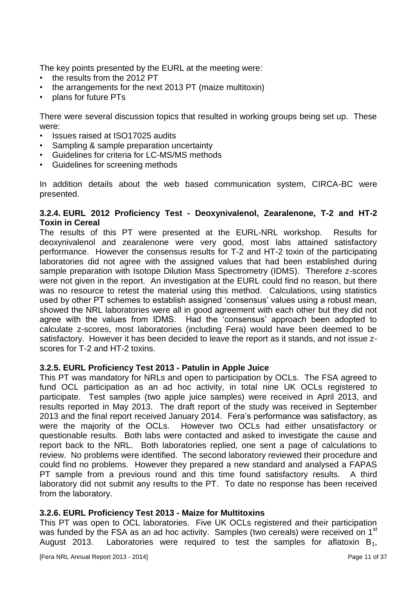The key points presented by the EURL at the meeting were:

- the results from the 2012 PT
- the arrangements for the next 2013 PT (maize multitoxin)
- plans for future PTs

There were several discussion topics that resulted in working groups being set up. These were:

- Issues raised at ISO17025 audits
- Sampling & sample preparation uncertainty
- Guidelines for criteria for LC-MS/MS methods
- Guidelines for screening methods

In addition details about the web based communication system, CIRCA-BC were presented.

#### **3.2.4. EURL 2012 Proficiency Test - Deoxynivalenol, Zearalenone, T-2 and HT-2 Toxin in Cereal**

The results of this PT were presented at the EURL-NRL workshop. Results for deoxynivalenol and zearalenone were very good, most labs attained satisfactory performance. However the consensus results for T-2 and HT-2 toxin of the participating laboratories did not agree with the assigned values that had been established during sample preparation with Isotope Dilution Mass Spectrometry (IDMS). Therefore z-scores were not given in the report. An investigation at the EURL could find no reason, but there was no resource to retest the material using this method. Calculations, using statistics used by other PT schemes to establish assigned 'consensus' values using a robust mean, showed the NRL laboratories were all in good agreement with each other but they did not agree with the values from IDMS. Had the 'consensus' approach been adopted to calculate z-scores, most laboratories (including Fera) would have been deemed to be satisfactory. However it has been decided to leave the report as it stands, and not issue zscores for T-2 and HT-2 toxins.

#### **3.2.5. EURL Proficiency Test 2013 - Patulin in Apple Juice**

This PT was mandatory for NRLs and open to participation by OCLs. The FSA agreed to fund OCL participation as an ad hoc activity, in total nine UK OCLs registered to participate. Test samples (two apple juice samples) were received in April 2013, and results reported in May 2013. The draft report of the study was received in September 2013 and the final report received January 2014. Fera's performance was satisfactory, as were the majority of the OCLs. However two OCLs had either unsatisfactory or questionable results. Both labs were contacted and asked to investigate the cause and report back to the NRL. Both laboratories replied, one sent a page of calculations to review. No problems were identified. The second laboratory reviewed their procedure and could find no problems. However they prepared a new standard and analysed a FAPAS PT sample from a previous round and this time found satisfactory results. A third laboratory did not submit any results to the PT. To date no response has been received from the laboratory.

#### **3.2.6. EURL Proficiency Test 2013 - Maize for Multitoxins**

This PT was open to OCL laboratories. Five UK OCLs registered and their participation was funded by the FSA as an ad hoc activity. Samples (two cereals) were received on 1<sup>st</sup> August 2013. Laboratories were required to test the samples for aflatoxin  $B_1$ ,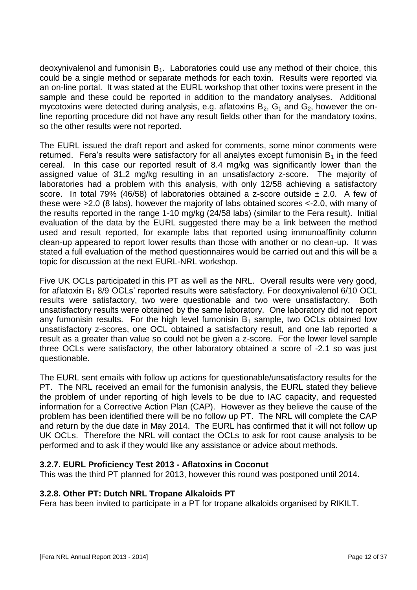deoxynivalenol and fumonisin  $B_1$ . Laboratories could use any method of their choice, this could be a single method or separate methods for each toxin. Results were reported via an on-line portal. It was stated at the EURL workshop that other toxins were present in the sample and these could be reported in addition to the mandatory analyses. Additional mycotoxins were detected during analysis, e.g. aflatoxins  $B_2$ ,  $G_1$  and  $G_2$ , however the online reporting procedure did not have any result fields other than for the mandatory toxins, so the other results were not reported.

The EURL issued the draft report and asked for comments, some minor comments were returned. Fera's results were satisfactory for all analytes except fumonisin  $B_1$  in the feed cereal. In this case our reported result of 8.4 mg/kg was significantly lower than the assigned value of 31.2 mg/kg resulting in an unsatisfactory z-score. The majority of laboratories had a problem with this analysis, with only 12/58 achieving a satisfactory score. In total 79% (46/58) of laboratories obtained a z-score outside  $\pm$  2.0. A few of these were >2.0 (8 labs), however the majority of labs obtained scores <-2.0, with many of the results reported in the range 1-10 mg/kg (24/58 labs) (similar to the Fera result). Initial evaluation of the data by the EURL suggested there may be a link between the method used and result reported, for example labs that reported using immunoaffinity column clean-up appeared to report lower results than those with another or no clean-up. It was stated a full evaluation of the method questionnaires would be carried out and this will be a topic for discussion at the next EURL-NRL workshop.

Five UK OCLs participated in this PT as well as the NRL. Overall results were very good, for aflatoxin  $B_1$  8/9 OCLs' reported results were satisfactory. For deoxynivalenol 6/10 OCL results were satisfactory, two were questionable and two were unsatisfactory. Both unsatisfactory results were obtained by the same laboratory. One laboratory did not report any fumonisin results. For the high level fumonisin  $B_1$  sample, two OCLs obtained low unsatisfactory z-scores, one OCL obtained a satisfactory result, and one lab reported a result as a greater than value so could not be given a z-score. For the lower level sample three OCLs were satisfactory, the other laboratory obtained a score of -2.1 so was just questionable.

The EURL sent emails with follow up actions for questionable/unsatisfactory results for the PT. The NRL received an email for the fumonisin analysis, the EURL stated they believe the problem of under reporting of high levels to be due to IAC capacity, and requested information for a Corrective Action Plan (CAP). However as they believe the cause of the problem has been identified there will be no follow up PT. The NRL will complete the CAP and return by the due date in May 2014. The EURL has confirmed that it will not follow up UK OCLs. Therefore the NRL will contact the OCLs to ask for root cause analysis to be performed and to ask if they would like any assistance or advice about methods.

#### **3.2.7. EURL Proficiency Test 2013 - Aflatoxins in Coconut**

This was the third PT planned for 2013, however this round was postponed until 2014.

#### **3.2.8. Other PT: Dutch NRL Tropane Alkaloids PT**

Fera has been invited to participate in a PT for tropane alkaloids organised by RIKILT.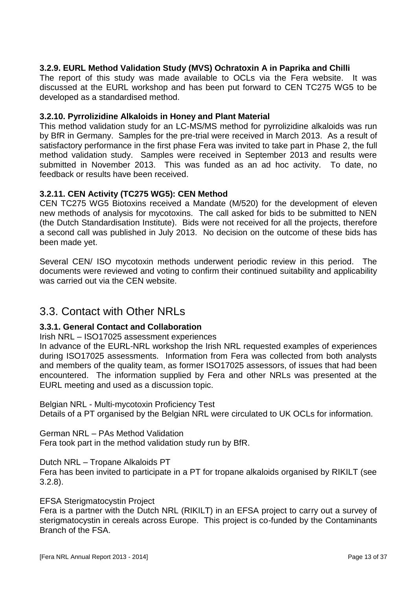#### **3.2.9. EURL Method Validation Study (MVS) Ochratoxin A in Paprika and Chilli**

The report of this study was made available to OCLs via the Fera website. It was discussed at the EURL workshop and has been put forward to CEN TC275 WG5 to be developed as a standardised method.

#### **3.2.10. Pyrrolizidine Alkaloids in Honey and Plant Material**

This method validation study for an LC-MS/MS method for pyrrolizidine alkaloids was run by BfR in Germany. Samples for the pre-trial were received in March 2013. As a result of satisfactory performance in the first phase Fera was invited to take part in Phase 2, the full method validation study. Samples were received in September 2013 and results were submitted in November 2013. This was funded as an ad hoc activity. To date, no feedback or results have been received.

#### **3.2.11. CEN Activity (TC275 WG5): CEN Method**

CEN TC275 WG5 Biotoxins received a Mandate (M/520) for the development of eleven new methods of analysis for mycotoxins. The call asked for bids to be submitted to NEN (the Dutch Standardisation Institute). Bids were not received for all the projects, therefore a second call was published in July 2013. No decision on the outcome of these bids has been made yet.

Several CEN/ ISO mycotoxin methods underwent periodic review in this period. The documents were reviewed and voting to confirm their continued suitability and applicability was carried out via the CEN website.

### 3.3. Contact with Other NRLs

#### **3.3.1. General Contact and Collaboration**

Irish NRL – ISO17025 assessment experiences

In advance of the EURL-NRL workshop the Irish NRL requested examples of experiences during ISO17025 assessments. Information from Fera was collected from both analysts and members of the quality team, as former ISO17025 assessors, of issues that had been encountered. The information supplied by Fera and other NRLs was presented at the EURL meeting and used as a discussion topic.

Belgian NRL - Multi-mycotoxin Proficiency Test

Details of a PT organised by the Belgian NRL were circulated to UK OCLs for information.

German NRL – PAs Method Validation

Fera took part in the method validation study run by BfR.

Dutch NRL – Tropane Alkaloids PT

Fera has been invited to participate in a PT for tropane alkaloids organised by RIKILT (see 3.2.8).

EFSA Sterigmatocystin Project

Fera is a partner with the Dutch NRL (RIKILT) in an EFSA project to carry out a survey of sterigmatocystin in cereals across Europe. This project is co-funded by the Contaminants Branch of the FSA.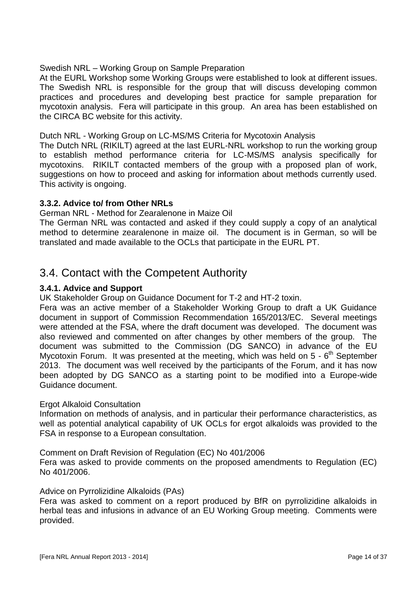#### Swedish NRL – Working Group on Sample Preparation

At the EURL Workshop some Working Groups were established to look at different issues. The Swedish NRL is responsible for the group that will discuss developing common practices and procedures and developing best practice for sample preparation for mycotoxin analysis. Fera will participate in this group. An area has been established on the CIRCA BC website for this activity.

#### Dutch NRL - Working Group on LC-MS/MS Criteria for Mycotoxin Analysis

The Dutch NRL (RIKILT) agreed at the last EURL-NRL workshop to run the working group to establish method performance criteria for LC-MS/MS analysis specifically for mycotoxins. RIKILT contacted members of the group with a proposed plan of work, suggestions on how to proceed and asking for information about methods currently used. This activity is ongoing.

#### **3.3.2. Advice to/ from Other NRLs**

#### German NRL - Method for Zearalenone in Maize Oil

The German NRL was contacted and asked if they could supply a copy of an analytical method to determine zearalenone in maize oil. The document is in German, so will be translated and made available to the OCLs that participate in the EURL PT.

### 3.4. Contact with the Competent Authority

#### **3.4.1. Advice and Support**

UK Stakeholder Group on Guidance Document for T-2 and HT-2 toxin.

Fera was an active member of a Stakeholder Working Group to draft a UK Guidance document in support of Commission Recommendation 165/2013/EC. Several meetings were attended at the FSA, where the draft document was developed. The document was also reviewed and commented on after changes by other members of the group. The document was submitted to the Commission (DG SANCO) in advance of the EU Mycotoxin Forum. It was presented at the meeting, which was held on  $5 - 6<sup>th</sup>$  September 2013. The document was well received by the participants of the Forum, and it has now been adopted by DG SANCO as a starting point to be modified into a Europe-wide Guidance document.

#### Ergot Alkaloid Consultation

Information on methods of analysis, and in particular their performance characteristics, as well as potential analytical capability of UK OCLs for ergot alkaloids was provided to the FSA in response to a European consultation.

Comment on Draft Revision of Regulation (EC) No 401/2006

Fera was asked to provide comments on the proposed amendments to Regulation (EC) No 401/2006.

#### Advice on Pyrrolizidine Alkaloids (PAs)

Fera was asked to comment on a report produced by BfR on pyrrolizidine alkaloids in herbal teas and infusions in advance of an EU Working Group meeting. Comments were provided.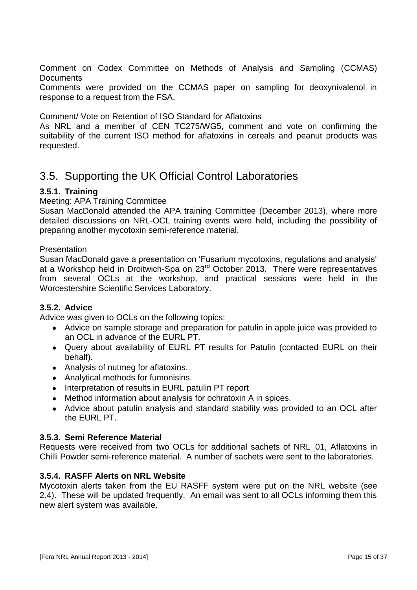Comment on Codex Committee on Methods of Analysis and Sampling (CCMAS) **Documents** 

Comments were provided on the CCMAS paper on sampling for deoxynivalenol in response to a request from the FSA.

Comment/ Vote on Retention of ISO Standard for Aflatoxins

As NRL and a member of CEN TC275/WG5, comment and vote on confirming the suitability of the current ISO method for aflatoxins in cereals and peanut products was requested.

## 3.5. Supporting the UK Official Control Laboratories

#### **3.5.1. Training**

Meeting: APA Training Committee

Susan MacDonald attended the APA training Committee (December 2013), where more detailed discussions on NRL-OCL training events were held, including the possibility of preparing another mycotoxin semi-reference material.

#### **Presentation**

Susan MacDonald gave a presentation on 'Fusarium mycotoxins, regulations and analysis' at a Workshop held in Droitwich-Spa on 23rd October 2013. There were representatives from several OCLs at the workshop, and practical sessions were held in the Worcestershire Scientific Services Laboratory.

#### **3.5.2. Advice**

Advice was given to OCLs on the following topics:

- Advice on sample storage and preparation for patulin in apple juice was provided to an OCL in advance of the EURL PT.
- Query about availability of EURL PT results for Patulin (contacted EURL on their behalf).
- Analysis of nutmeg for aflatoxins.
- Analytical methods for fumonisins.
- Interpretation of results in EURL patulin PT report
- Method information about analysis for ochratoxin A in spices.
- Advice about patulin analysis and standard stability was provided to an OCL after the EURL PT.

#### **3.5.3. Semi Reference Material**

Requests were received from two OCLs for additional sachets of NRL\_01, Aflatoxins in Chilli Powder semi-reference material. A number of sachets were sent to the laboratories.

#### **3.5.4. RASFF Alerts on NRL Website**

Mycotoxin alerts taken from the EU RASFF system were put on the NRL website (see 2.4). These will be updated frequently. An email was sent to all OCLs informing them this new alert system was available.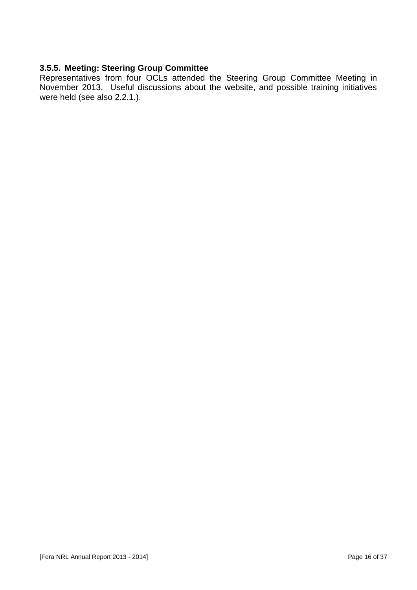#### **3.5.5. Meeting: Steering Group Committee**

Representatives from four OCLs attended the Steering Group Committee Meeting in November 2013. Useful discussions about the website, and possible training initiatives were held (see also 2.2.1.).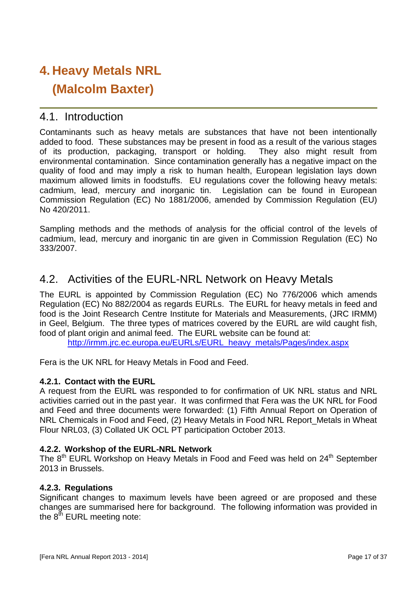# **4. Heavy Metals NRL (Malcolm Baxter)**

### 4.1. Introduction

Contaminants such as heavy metals are substances that have not been intentionally added to food. These substances may be present in food as a result of the various stages of its production, packaging, transport or holding. They also might result from environmental contamination. Since contamination generally has a negative impact on the quality of food and may imply a risk to human health, European legislation lays down maximum allowed limits in foodstuffs. EU regulations cover the following heavy metals: cadmium, lead, mercury and inorganic tin. Legislation can be found in European Commission Regulation (EC) No 1881/2006, amended by Commission Regulation (EU) No 420/2011.

Sampling methods and the methods of analysis for the official control of the levels of cadmium, lead, mercury and inorganic tin are given in Commission Regulation (EC) No 333/2007.

## 4.2. Activities of the EURL-NRL Network on Heavy Metals

The EURL is appointed by Commission Regulation (EC) No 776/2006 which amends Regulation (EC) No 882/2004 as regards EURLs. The EURL for heavy metals in feed and food is the Joint Research Centre Institute for Materials and Measurements, (JRC IRMM) in Geel, Belgium. The three types of matrices covered by the EURL are wild caught fish, food of plant origin and animal feed. The EURL website can be found at:

[http://irmm.jrc.ec.europa.eu/EURLs/EURL\\_heavy\\_metals/Pages/index.aspx](http://irmm.jrc.ec.europa.eu/EURLs/EURL_heavy_metals/Pages/index.aspx)

Fera is the UK NRL for Heavy Metals in Food and Feed.

#### **4.2.1. Contact with the EURL**

A request from the EURL was responded to for confirmation of UK NRL status and NRL activities carried out in the past year. It was confirmed that Fera was the UK NRL for Food and Feed and three documents were forwarded: (1) Fifth Annual Report on Operation of NRL Chemicals in Food and Feed, (2) Heavy Metals in Food NRL Report Metals in Wheat Flour NRL03, (3) Collated UK OCL PT participation October 2013.

#### **4.2.2. Workshop of the EURL-NRL Network**

The 8<sup>th</sup> EURL Workshop on Heavy Metals in Food and Feed was held on 24<sup>th</sup> September 2013 in Brussels.

#### **4.2.3. Regulations**

Significant changes to maximum levels have been agreed or are proposed and these changes are summarised here for background. The following information was provided in the  $8<sup>th</sup>$  EURL meeting note: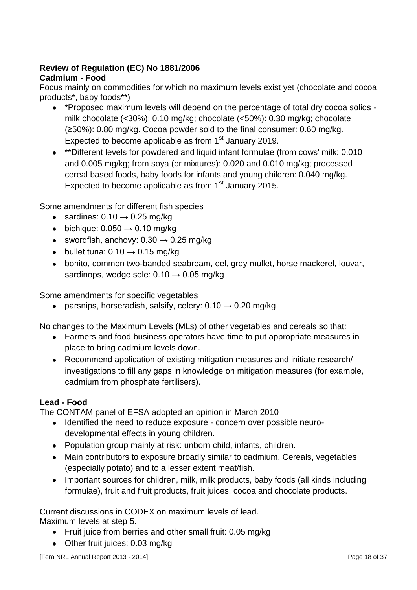### **Review of Regulation (EC) No 1881/2006**

#### **Cadmium - Food**

Focus mainly on commodities for which no maximum levels exist yet (chocolate and cocoa products\*, baby foods\*\*)

- \*Proposed maximum levels will depend on the percentage of total dry cocoa solids milk chocolate (<30%): 0.10 mg/kg; chocolate (<50%): 0.30 mg/kg; chocolate (≥50%): 0.80 mg/kg. Cocoa powder sold to the final consumer: 0.60 mg/kg. Expected to become applicable as from 1<sup>st</sup> January 2019.
- \*\*Different levels for powdered and liquid infant formulae (from cows' milk: 0.010 and 0.005 mg/kg; from soya (or mixtures): 0.020 and 0.010 mg/kg; processed cereal based foods, baby foods for infants and young children: 0.040 mg/kg. Expected to become applicable as from  $1<sup>st</sup>$  January 2015.

Some amendments for different fish species

- sardines:  $0.10 \rightarrow 0.25$  mg/kg
- $\bullet$  bichique: 0.050  $\rightarrow$  0.10 mg/kg
- swordfish, anchovy:  $0.30 \rightarrow 0.25$  mg/kg
- bullet tuna:  $0.10 \rightarrow 0.15$  mg/kg
- bonito, common two-banded seabream, eel, grey mullet, horse mackerel, louvar, sardinops, wedge sole:  $0.10 \rightarrow 0.05$  mg/kg

Some amendments for specific vegetables

• parsnips, horseradish, salsify, celery:  $0.10 \rightarrow 0.20$  mg/kg

No changes to the Maximum Levels (MLs) of other vegetables and cereals so that:

- Farmers and food business operators have time to put appropriate measures in place to bring cadmium levels down.
- Recommend application of existing mitigation measures and initiate research/ investigations to fill any gaps in knowledge on mitigation measures (for example, cadmium from phosphate fertilisers).

#### **Lead - Food**

The CONTAM panel of EFSA adopted an opinion in March 2010

- Identified the need to reduce exposure concern over possible neurodevelopmental effects in young children.
- Population group mainly at risk: unborn child, infants, children.
- Main contributors to exposure broadly similar to cadmium. Cereals, vegetables (especially potato) and to a lesser extent meat/fish.
- Important sources for children, milk, milk products, baby foods (all kinds including formulae), fruit and fruit products, fruit juices, cocoa and chocolate products.

Current discussions in CODEX on maximum levels of lead. Maximum levels at step 5.

- Fruit juice from berries and other small fruit: 0.05 mg/kg
- Other fruit juices: 0.03 mg/kg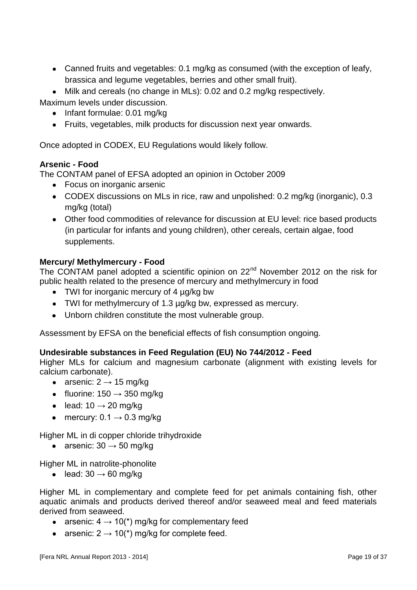Canned fruits and vegetables: 0.1 mg/kg as consumed (with the exception of leafy, brassica and legume vegetables, berries and other small fruit).

Milk and cereals (no change in MLs): 0.02 and 0.2 mg/kg respectively. Maximum levels under discussion.

• Infant formulae: 0.01 mg/kg

Fruits, vegetables, milk products for discussion next year onwards.

Once adopted in CODEX, EU Regulations would likely follow.

#### **Arsenic - Food**

The CONTAM panel of EFSA adopted an opinion in October 2009

- Focus on inorganic arsenic
- CODEX discussions on MLs in rice, raw and unpolished: 0.2 mg/kg (inorganic), 0.3 mg/kg (total)
- Other food commodities of relevance for discussion at EU level: rice based products (in particular for infants and young children), other cereals, certain algae, food supplements.

#### **Mercury/ Methylmercury - Food**

The CONTAM panel adopted a scientific opinion on 22<sup>nd</sup> November 2012 on the risk for public health related to the presence of mercury and methylmercury in food

- TWI for inorganic mercury of 4 µg/kg bw
- TWI for methylmercury of 1.3 µg/kg bw, expressed as mercury.
- Unborn children constitute the most vulnerable group.

Assessment by EFSA on the beneficial effects of fish consumption ongoing.

#### **Undesirable substances in Feed Regulation (EU) No 744/2012 - Feed**

Higher MLs for calcium and magnesium carbonate (alignment with existing levels for calcium carbonate).

- arsenic:  $2 \rightarrow 15$  mg/kg
- fluorine:  $150 \rightarrow 350$  mg/kg
- $\bullet$  lead: 10  $\rightarrow$  20 mg/kg
- mercury:  $0.1 \rightarrow 0.3$  mg/kg

Higher ML in di copper chloride trihydroxide

• arsenic:  $30 \rightarrow 50$  mg/kg

Higher ML in natrolite-phonolite

• lead:  $30 \rightarrow 60$  mg/kg

Higher ML in complementary and complete feed for pet animals containing fish, other aquatic animals and products derived thereof and/or seaweed meal and feed materials derived from seaweed.

- arsenic:  $4 \rightarrow 10$ <sup>\*</sup>) mg/kg for complementary feed
- arsenic:  $2 \rightarrow 10$ <sup>\*</sup>) mg/kg for complete feed.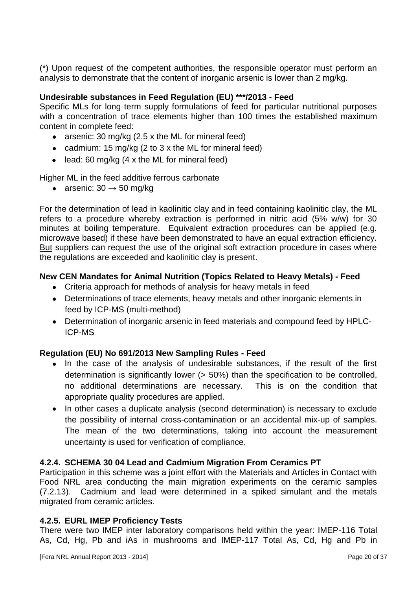(\*) Upon request of the competent authorities, the responsible operator must perform an analysis to demonstrate that the content of inorganic arsenic is lower than 2 mg/kg.

#### **Undesirable substances in Feed Regulation (EU) \*\*\*/2013 - Feed**

Specific MLs for long term supply formulations of feed for particular nutritional purposes with a concentration of trace elements higher than 100 times the established maximum content in complete feed:

- arsenic: 30 mg/kg (2.5 x the ML for mineral feed)
- cadmium: 15 mg/kg (2 to 3 x the ML for mineral feed)
- $\bullet$  lead: 60 mg/kg (4 x the ML for mineral feed)

Higher ML in the feed additive ferrous carbonate

• arsenic:  $30 \rightarrow 50$  mg/kg

For the determination of lead in kaolinitic clay and in feed containing kaolinitic clay, the ML refers to a procedure whereby extraction is performed in nitric acid (5% w/w) for 30 minutes at boiling temperature. Equivalent extraction procedures can be applied (e.g. microwave based) if these have been demonstrated to have an equal extraction efficiency. But suppliers can request the use of the original soft extraction procedure in cases where the regulations are exceeded and kaolinitic clay is present.

#### **New CEN Mandates for Animal Nutrition (Topics Related to Heavy Metals) - Feed**

- Criteria approach for methods of analysis for heavy metals in feed
- Determinations of trace elements, heavy metals and other inorganic elements in feed by ICP-MS (multi-method)
- Determination of inorganic arsenic in feed materials and compound feed by HPLC-ICP-MS

#### **Regulation (EU) No 691/2013 New Sampling Rules - Feed**

- In the case of the analysis of undesirable substances, if the result of the first  $\bullet$ determination is significantly lower (> 50%) than the specification to be controlled, no additional determinations are necessary. This is on the condition that appropriate quality procedures are applied.
- $\bullet$ In other cases a duplicate analysis (second determination) is necessary to exclude the possibility of internal cross-contamination or an accidental mix-up of samples. The mean of the two determinations, taking into account the measurement uncertainty is used for verification of compliance.

#### **4.2.4. SCHEMA 30 04 Lead and Cadmium Migration From Ceramics PT**

Participation in this scheme was a joint effort with the Materials and Articles in Contact with Food NRL area conducting the main migration experiments on the ceramic samples (7.2.13). Cadmium and lead were determined in a spiked simulant and the metals migrated from ceramic articles.

#### **4.2.5. EURL IMEP Proficiency Tests**

There were two IMEP inter laboratory comparisons held within the year: IMEP-116 Total As, Cd, Hg, Pb and iAs in mushrooms and IMEP-117 Total As, Cd, Hg and Pb in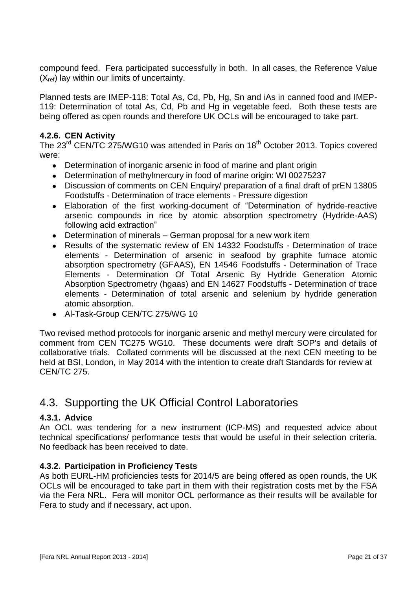compound feed. Fera participated successfully in both. In all cases, the Reference Value  $(X_{ref})$  lay within our limits of uncertainty.

Planned tests are IMEP-118: Total As, Cd, Pb, Hg, Sn and iAs in canned food and IMEP-119: Determination of total As, Cd, Pb and Hg in vegetable feed. Both these tests are being offered as open rounds and therefore UK OCLs will be encouraged to take part.

#### **4.2.6. CEN Activity**

The 23<sup>rd</sup> CEN/TC 275/WG10 was attended in Paris on 18<sup>th</sup> October 2013. Topics covered were:

- Determination of inorganic arsenic in food of marine and plant origin
- Determination of methylmercury in food of marine origin: WI 00275237  $\bullet$
- Discussion of comments on CEN Enquiry/ preparation of a final draft of prEN 13805 Foodstuffs - Determination of trace elements - Pressure digestion
- Elaboration of the first working-document of "Determination of hydride-reactive arsenic compounds in rice by atomic absorption spectrometry (Hydride-AAS) following acid extraction"
- $\bullet$ Determination of minerals – German proposal for a new work item
- Results of the systematic review of EN 14332 Foodstuffs Determination of trace elements - Determination of arsenic in seafood by graphite furnace atomic absorption spectrometry (GFAAS), EN 14546 Foodstuffs - Determination of Trace Elements - Determination Of Total Arsenic By Hydride Generation Atomic Absorption Spectrometry (hgaas) and EN 14627 Foodstuffs - Determination of trace elements - Determination of total arsenic and selenium by hydride generation atomic absorption.
- Al-Task-Group CEN/TC 275/WG 10

Two revised method protocols for inorganic arsenic and methyl mercury were circulated for comment from CEN TC275 WG10. These documents were draft SOP's and details of collaborative trials. Collated comments will be discussed at the next CEN meeting to be held at BSI, London, in May 2014 with the intention to create draft Standards for review at CEN/TC 275.

## 4.3. Supporting the UK Official Control Laboratories

#### **4.3.1. Advice**

An OCL was tendering for a new instrument (ICP-MS) and requested advice about technical specifications/ performance tests that would be useful in their selection criteria. No feedback has been received to date.

#### **4.3.2. Participation in Proficiency Tests**

As both EURL-HM proficiencies tests for 2014/5 are being offered as open rounds, the UK OCLs will be encouraged to take part in them with their registration costs met by the FSA via the Fera NRL. Fera will monitor OCL performance as their results will be available for Fera to study and if necessary, act upon.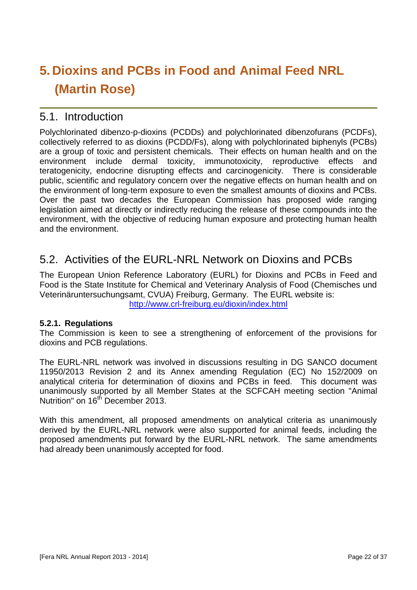# **5. Dioxins and PCBs in Food and Animal Feed NRL (Martin Rose)**

## 5.1. Introduction

Polychlorinated dibenzo-p-dioxins (PCDDs) and polychlorinated dibenzofurans (PCDFs), collectively referred to as dioxins (PCDD/Fs), along with polychlorinated biphenyls (PCBs) are a group of toxic and persistent chemicals. Their effects on human health and on the environment include dermal toxicity, immunotoxicity, reproductive effects and teratogenicity, endocrine disrupting effects and carcinogenicity. There is considerable public, scientific and regulatory concern over the negative effects on human health and on the environment of long-term exposure to even the smallest amounts of dioxins and PCBs. Over the past two decades the European Commission has proposed wide ranging legislation aimed at directly or indirectly reducing the release of these compounds into the environment, with the objective of reducing human exposure and protecting human health and the environment.

## 5.2. Activities of the EURL-NRL Network on Dioxins and PCBs

The European Union Reference Laboratory (EURL) for Dioxins and PCBs in Feed and Food is the State Institute for Chemical and Veterinary Analysis of Food (Chemisches und Veterinäruntersuchungsamt, CVUA) Freiburg, Germany. The EURL website is: <http://www.crl-freiburg.eu/dioxin/index.html>

#### **5.2.1. Regulations**

The Commission is keen to see a strengthening of enforcement of the provisions for dioxins and PCB regulations.

The EURL-NRL network was involved in discussions resulting in DG SANCO document 11950/2013 Revision 2 and its Annex amending Regulation (EC) No 152/2009 on analytical criteria for determination of dioxins and PCBs in feed. This document was unanimously supported by all Member States at the SCFCAH meeting section "Animal Nutrition" on 16<sup>th</sup> December 2013.

With this amendment, all proposed amendments on analytical criteria as unanimously derived by the EURL-NRL network were also supported for animal feeds, including the proposed amendments put forward by the EURL-NRL network. The same amendments had already been unanimously accepted for food.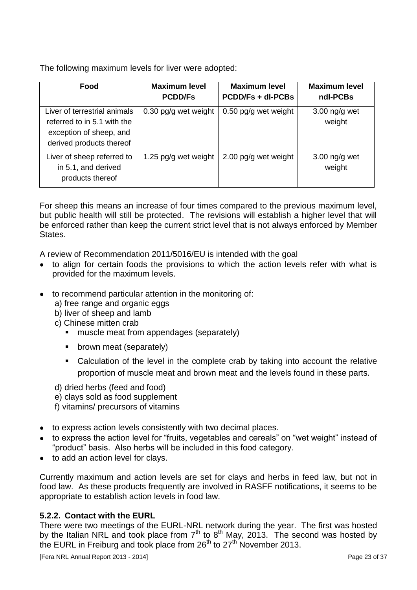The following maximum levels for liver were adopted:

| Food                                                                                                               | <b>Maximum level</b><br><b>PCDD/Fs</b> | <b>Maximum level</b><br><b>PCDD/Fs + dl-PCBs</b> | <b>Maximum level</b><br>ndl-PCBs |
|--------------------------------------------------------------------------------------------------------------------|----------------------------------------|--------------------------------------------------|----------------------------------|
| Liver of terrestrial animals<br>referred to in 5.1 with the<br>exception of sheep, and<br>derived products thereof | 0.30 pg/g wet weight                   | $0.50$ pg/g wet weight                           | $3.00$ ng/g wet<br>weight        |
| Liver of sheep referred to<br>in 5.1, and derived<br>products thereof                                              | 1.25 pg/g wet weight                   | 2.00 pg/g wet weight                             | $3.00$ ng/g wet<br>weight        |

For sheep this means an increase of four times compared to the previous maximum level, but public health will still be protected. The revisions will establish a higher level that will be enforced rather than keep the current strict level that is not always enforced by Member States.

A review of Recommendation 2011/5016/EU is intended with the goal

- to align for certain foods the provisions to which the action levels refer with what is provided for the maximum levels.
- to recommend particular attention in the monitoring of:
	- a) free range and organic eggs
	- b) liver of sheep and lamb
	- c) Chinese mitten crab
		- muscle meat from appendages (separately)
		- **•** brown meat (separately)
		- Calculation of the level in the complete crab by taking into account the relative proportion of muscle meat and brown meat and the levels found in these parts.

d) dried herbs (feed and food)

- e) clays sold as food supplement
- f) vitamins/ precursors of vitamins
- to express action levels consistently with two decimal places.
- to express the action level for "fruits, vegetables and cereals" on "wet weight" instead of "product" basis. Also herbs will be included in this food category.
- to add an action level for clavs.

Currently maximum and action levels are set for clays and herbs in feed law, but not in food law. As these products frequently are involved in RASFF notifications, it seems to be appropriate to establish action levels in food law.

#### **5.2.2. Contact with the EURL**

There were two meetings of the EURL-NRL network during the year. The first was hosted by the Italian NRL and took place from  $7<sup>th</sup>$  to  $8<sup>th</sup>$  May, 2013. The second was hosted by the EURL in Freiburg and took place from  $26<sup>th</sup>$  to  $27<sup>th</sup>$  November 2013.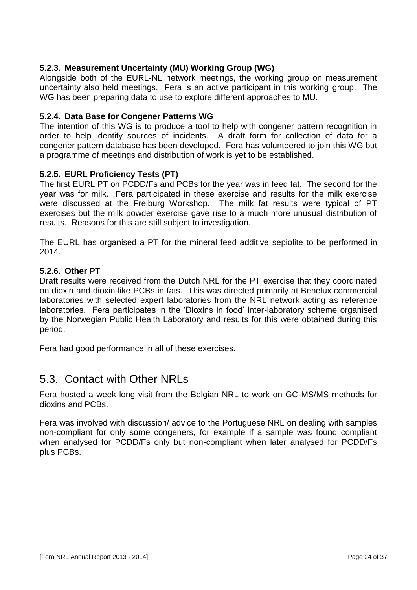#### **5.2.3. Measurement Uncertainty (MU) Working Group (WG)**

Alongside both of the EURL-NL network meetings, the working group on measurement uncertainty also held meetings. Fera is an active participant in this working group. The WG has been preparing data to use to explore different approaches to MU.

#### **5.2.4. Data Base for Congener Patterns WG**

The intention of this WG is to produce a tool to help with congener pattern recognition in order to help identify sources of incidents. A draft form for collection of data for a congener pattern database has been developed. Fera has volunteered to join this WG but a programme of meetings and distribution of work is yet to be established.

#### **5.2.5. EURL Proficiency Tests (PT)**

The first EURL PT on PCDD/Fs and PCBs for the year was in feed fat. The second for the year was for milk. Fera participated in these exercise and results for the milk exercise were discussed at the Freiburg Workshop. The milk fat results were typical of PT exercises but the milk powder exercise gave rise to a much more unusual distribution of results. Reasons for this are still subject to investigation.

The EURL has organised a PT for the mineral feed additive sepiolite to be performed in 2014.

#### **5.2.6. Other PT**

Draft results were received from the Dutch NRL for the PT exercise that they coordinated on dioxin and dioxin-like PCBs in fats. This was directed primarily at Benelux commercial laboratories with selected expert laboratories from the NRL network acting as reference laboratories. Fera participates in the 'Dioxins in food' inter-laboratory scheme organised by the Norwegian Public Health Laboratory and results for this were obtained during this period.

Fera had good performance in all of these exercises.

### 5.3. Contact with Other NRLs

Fera hosted a week long visit from the Belgian NRL to work on GC-MS/MS methods for dioxins and PCBs.

Fera was involved with discussion/ advice to the Portuguese NRL on dealing with samples non-compliant for only some congeners, for example if a sample was found compliant when analysed for PCDD/Fs only but non-compliant when later analysed for PCDD/Fs plus PCBs.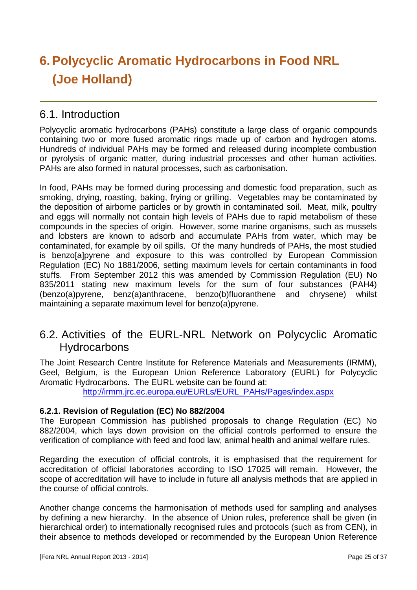# **6.Polycyclic Aromatic Hydrocarbons in Food NRL (Joe Holland)**

## 6.1. Introduction

Polycyclic aromatic hydrocarbons (PAHs) constitute a large class of organic compounds containing two or more fused aromatic rings made up of carbon and hydrogen atoms. Hundreds of individual PAHs may be formed and released during incomplete combustion or pyrolysis of organic matter, during industrial processes and other human activities. PAHs are also formed in natural processes, such as carbonisation.

In food, PAHs may be formed during processing and domestic food preparation, such as smoking, drying, roasting, baking, frying or grilling. Vegetables may be contaminated by the deposition of airborne particles or by growth in contaminated soil. Meat, milk, poultry and eggs will normally not contain high levels of PAHs due to rapid metabolism of these compounds in the species of origin. However, some marine organisms, such as mussels and lobsters are known to adsorb and accumulate PAHs from water, which may be contaminated, for example by oil spills. Of the many hundreds of PAHs, the most studied is benzo[a]pvrene and exposure to this was controlled by European Commission Regulation (EC) No 1881/2006, setting maximum levels for certain contaminants in food stuffs. From September 2012 this was amended by Commission Regulation (EU) No 835/2011 stating new maximum levels for the sum of four substances (PAH4) (benzo(a)pyrene, benz(a)anthracene, benzo(b)fluoranthene and chrysene) whilst maintaining a separate maximum level for benzo(a)pyrene.

## 6.2. Activities of the EURL-NRL Network on Polycyclic Aromatic **Hydrocarbons**

The Joint Research Centre Institute for Reference Materials and Measurements (IRMM), Geel, Belgium, is the European Union Reference Laboratory (EURL) for Polycyclic Aromatic Hydrocarbons. The EURL website can be found at:

[http://irmm.jrc.ec.europa.eu/EURLs/EURL\\_PAHs/Pages/index.aspx](http://irmm.jrc.ec.europa.eu/EURLs/EURL_PAHs/Pages/index.aspx)

#### **6.2.1. Revision of Regulation (EC) No 882/2004**

The European Commission has published proposals to change Regulation (EC) No 882/2004, which lays down provision on the official controls performed to ensure the verification of compliance with feed and food law, animal health and animal welfare rules.

Regarding the execution of official controls, it is emphasised that the requirement for accreditation of official laboratories according to ISO 17025 will remain. However, the scope of accreditation will have to include in future all analysis methods that are applied in the course of official controls.

Another change concerns the harmonisation of methods used for sampling and analyses by defining a new hierarchy. In the absence of Union rules, preference shall be given (in hierarchical order) to internationally recognised rules and protocols (such as from CEN), in their absence to methods developed or recommended by the European Union Reference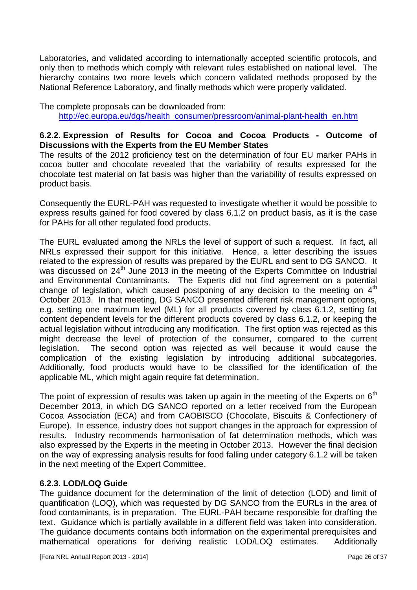Laboratories, and validated according to internationally accepted scientific protocols, and only then to methods which comply with relevant rules established on national level. The hierarchy contains two more levels which concern validated methods proposed by the National Reference Laboratory, and finally methods which were properly validated.

The complete proposals can be downloaded from: [http://ec.europa.eu/dgs/health\\_consumer/pressroom/animal-plant-health\\_en.htm](http://ec.europa.eu/dgs/health_consumer/pressroom/animal-plant-health_en.htm)

#### **6.2.2. Expression of Results for Cocoa and Cocoa Products - Outcome of Discussions with the Experts from the EU Member States**

The results of the 2012 proficiency test on the determination of four EU marker PAHs in cocoa butter and chocolate revealed that the variability of results expressed for the chocolate test material on fat basis was higher than the variability of results expressed on product basis.

Consequently the EURL-PAH was requested to investigate whether it would be possible to express results gained for food covered by class 6.1.2 on product basis, as it is the case for PAHs for all other regulated food products.

The EURL evaluated among the NRLs the level of support of such a request. In fact, all NRLs expressed their support for this initiative. Hence, a letter describing the issues related to the expression of results was prepared by the EURL and sent to DG SANCO. It was discussed on 24<sup>th</sup> June 2013 in the meeting of the Experts Committee on Industrial and Environmental Contaminants. The Experts did not find agreement on a potential change of legislation, which caused postponing of any decision to the meeting on  $4<sup>th</sup>$ October 2013. In that meeting, DG SANCO presented different risk management options, e.g. setting one maximum level (ML) for all products covered by class 6.1.2, setting fat content dependent levels for the different products covered by class 6.1.2, or keeping the actual legislation without introducing any modification. The first option was rejected as this might decrease the level of protection of the consumer, compared to the current legislation. The second option was rejected as well because it would cause the complication of the existing legislation by introducing additional subcategories. Additionally, food products would have to be classified for the identification of the applicable ML, which might again require fat determination.

The point of expression of results was taken up again in the meeting of the Experts on  $6<sup>th</sup>$ December 2013, in which DG SANCO reported on a letter received from the European Cocoa Association (ECA) and from CAOBISCO (Chocolate, Biscuits & Confectionery of Europe). In essence, industry does not support changes in the approach for expression of results. Industry recommends harmonisation of fat determination methods, which was also expressed by the Experts in the meeting in October 2013. However the final decision on the way of expressing analysis results for food falling under category 6.1.2 will be taken in the next meeting of the Expert Committee.

#### **6.2.3. LOD/LOQ Guide**

The guidance document for the determination of the limit of detection (LOD) and limit of quantification (LOQ), which was requested by DG SANCO from the EURLs in the area of food contaminants, is in preparation. The EURL-PAH became responsible for drafting the text. Guidance which is partially available in a different field was taken into consideration. The guidance documents contains both information on the experimental prerequisites and mathematical operations for deriving realistic LOD/LOQ estimates. Additionally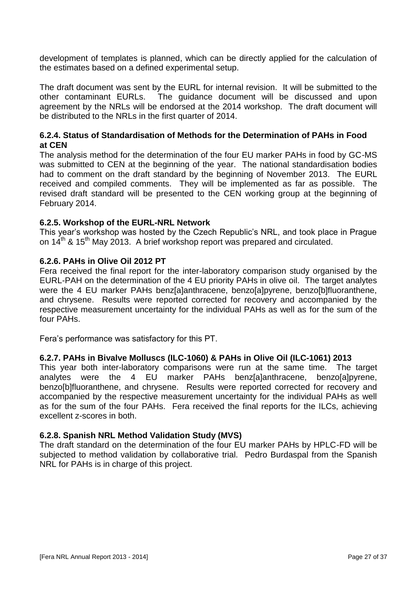development of templates is planned, which can be directly applied for the calculation of the estimates based on a defined experimental setup.

The draft document was sent by the EURL for internal revision. It will be submitted to the other contaminant EURLs. The guidance document will be discussed and upon agreement by the NRLs will be endorsed at the 2014 workshop. The draft document will be distributed to the NRLs in the first quarter of 2014.

#### **6.2.4. Status of Standardisation of Methods for the Determination of PAHs in Food at CEN**

The analysis method for the determination of the four EU marker PAHs in food by GC-MS was submitted to CEN at the beginning of the year. The national standardisation bodies had to comment on the draft standard by the beginning of November 2013. The EURL received and compiled comments. They will be implemented as far as possible. The revised draft standard will be presented to the CEN working group at the beginning of February 2014.

#### **6.2.5. Workshop of the EURL-NRL Network**

This year's workshop was hosted by the Czech Republic's NRL, and took place in Prague on 14<sup>th</sup> & 15<sup>th</sup> May 2013. A brief workshop report was prepared and circulated.

#### **6.2.6. PAHs in Olive Oil 2012 PT**

Fera received the final report for the inter-laboratory comparison study organised by the EURL-PAH on the determination of the 4 EU priority PAHs in olive oil. The target analytes were the 4 EU marker PAHs benz[a]anthracene, benzo[a]pyrene, benzo[b]fluoranthene, and chrysene. Results were reported corrected for recovery and accompanied by the respective measurement uncertainty for the individual PAHs as well as for the sum of the four PAHs.

Fera's performance was satisfactory for this PT.

#### **6.2.7. PAHs in Bivalve Molluscs (ILC-1060) & PAHs in Olive Oil (ILC-1061) 2013**

This year both inter-laboratory comparisons were run at the same time. The target analytes were the 4 EU marker PAHs benz[a]anthracene, benzo[a]pyrene, benzo[b]fluoranthene, and chrysene. Results were reported corrected for recovery and accompanied by the respective measurement uncertainty for the individual PAHs as well as for the sum of the four PAHs. Fera received the final reports for the ILCs, achieving excellent z-scores in both.

#### **6.2.8. Spanish NRL Method Validation Study (MVS)**

The draft standard on the determination of the four EU marker PAHs by HPLC-FD will be subjected to method validation by collaborative trial. Pedro Burdaspal from the Spanish NRL for PAHs is in charge of this project.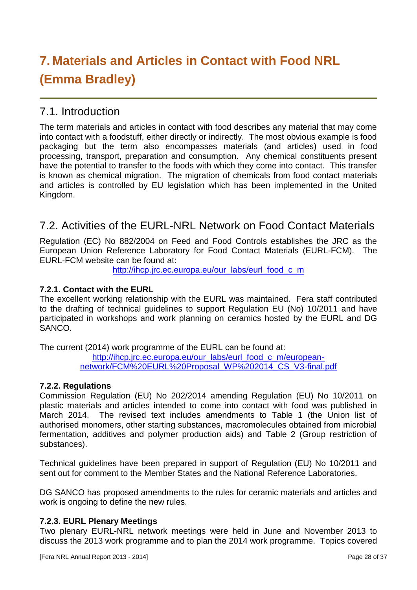# **7. Materials and Articles in Contact with Food NRL (Emma Bradley)**

## 7.1. Introduction

The term materials and articles in contact with food describes any material that may come into contact with a foodstuff, either directly or indirectly. The most obvious example is food packaging but the term also encompasses materials (and articles) used in food processing, transport, preparation and consumption. Any chemical constituents present have the potential to transfer to the foods with which they come into contact. This transfer is known as chemical migration. The migration of chemicals from food contact materials and articles is controlled by EU legislation which has been implemented in the United Kingdom.

## 7.2. Activities of the EURL-NRL Network on Food Contact Materials

Regulation (EC) No 882/2004 on Feed and Food Controls establishes the JRC as the European Union Reference Laboratory for Food Contact Materials (EURL-FCM). The EURL-FCM website can be found at:

[http://ihcp.jrc.ec.europa.eu/our\\_labs/eurl\\_food\\_c\\_m](http://ihcp.jrc.ec.europa.eu/our_labs/eurl_food_c_m)

#### **7.2.1. Contact with the EURL**

The excellent working relationship with the EURL was maintained. Fera staff contributed to the drafting of technical guidelines to support Regulation EU (No) 10/2011 and have participated in workshops and work planning on ceramics hosted by the EURL and DG SANCO.

The current (2014) work programme of the EURL can be found at:

[http://ihcp.jrc.ec.europa.eu/our\\_labs/eurl\\_food\\_c\\_m/european](http://ihcp.jrc.ec.europa.eu/our_labs/eurl_food_c_m/european-network/FCM%20EURL%20Proposal_WP%202014_CS_V3-final.pdf)[network/FCM%20EURL%20Proposal\\_WP%202014\\_CS\\_V3-final.pdf](http://ihcp.jrc.ec.europa.eu/our_labs/eurl_food_c_m/european-network/FCM%20EURL%20Proposal_WP%202014_CS_V3-final.pdf)

#### **7.2.2. Regulations**

Commission Regulation (EU) No 202/2014 amending Regulation (EU) No 10/2011 on plastic materials and articles intended to come into contact with food was published in March 2014. The revised text includes amendments to Table 1 (the Union list of authorised monomers, other starting substances, macromolecules obtained from microbial fermentation, additives and polymer production aids) and Table 2 (Group restriction of substances).

Technical guidelines have been prepared in support of Regulation (EU) No 10/2011 and sent out for comment to the Member States and the National Reference Laboratories.

DG SANCO has proposed amendments to the rules for ceramic materials and articles and work is ongoing to define the new rules.

#### **7.2.3. EURL Plenary Meetings**

Two plenary EURL-NRL network meetings were held in June and November 2013 to discuss the 2013 work programme and to plan the 2014 work programme. Topics covered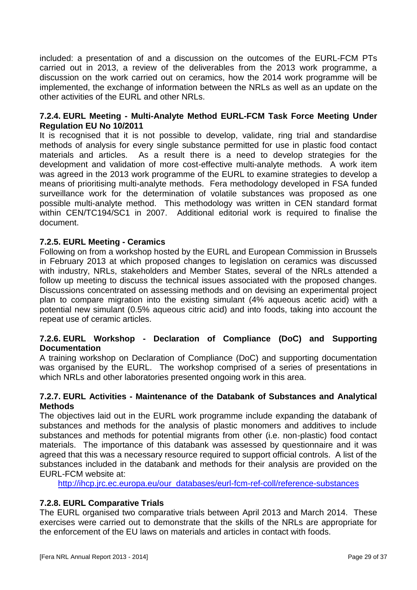included: a presentation of and a discussion on the outcomes of the EURL-FCM PTs carried out in 2013, a review of the deliverables from the 2013 work programme, a discussion on the work carried out on ceramics, how the 2014 work programme will be implemented, the exchange of information between the NRLs as well as an update on the other activities of the EURL and other NRLs.

#### **7.2.4. EURL Meeting - Multi-Analyte Method EURL-FCM Task Force Meeting Under Regulation EU No 10/2011**

It is recognised that it is not possible to develop, validate, ring trial and standardise methods of analysis for every single substance permitted for use in plastic food contact materials and articles. As a result there is a need to develop strategies for the development and validation of more cost-effective multi-analyte methods. A work item was agreed in the 2013 work programme of the EURL to examine strategies to develop a means of prioritising multi-analyte methods. Fera methodology developed in FSA funded surveillance work for the determination of volatile substances was proposed as one possible multi-analyte method. This methodology was written in CEN standard format within CEN/TC194/SC1 in 2007. Additional editorial work is required to finalise the document.

#### **7.2.5. EURL Meeting - Ceramics**

Following on from a workshop hosted by the EURL and European Commission in Brussels in February 2013 at which proposed changes to legislation on ceramics was discussed with industry, NRLs, stakeholders and Member States, several of the NRLs attended a follow up meeting to discuss the technical issues associated with the proposed changes. Discussions concentrated on assessing methods and on devising an experimental project plan to compare migration into the existing simulant (4% aqueous acetic acid) with a potential new simulant (0.5% aqueous citric acid) and into foods, taking into account the repeat use of ceramic articles.

#### **7.2.6. EURL Workshop - Declaration of Compliance (DoC) and Supporting Documentation**

A training workshop on Declaration of Compliance (DoC) and supporting documentation was organised by the EURL. The workshop comprised of a series of presentations in which NRLs and other laboratories presented ongoing work in this area.

#### **7.2.7. EURL Activities - Maintenance of the Databank of Substances and Analytical Methods**

The objectives laid out in the EURL work programme include expanding the databank of substances and methods for the analysis of plastic monomers and additives to include substances and methods for potential migrants from other (i.e. non-plastic) food contact materials. The importance of this databank was assessed by questionnaire and it was agreed that this was a necessary resource required to support official controls. A list of the substances included in the databank and methods for their analysis are provided on the EURL-FCM website at:

[http://ihcp.jrc.ec.europa.eu/our\\_databases/eurl-fcm-ref-coll/reference-substances](http://ihcp.jrc.ec.europa.eu/our_databases/eurl-fcm-ref-coll/reference-substances)

#### **7.2.8. EURL Comparative Trials**

The EURL organised two comparative trials between April 2013 and March 2014. These exercises were carried out to demonstrate that the skills of the NRLs are appropriate for the enforcement of the EU laws on materials and articles in contact with foods.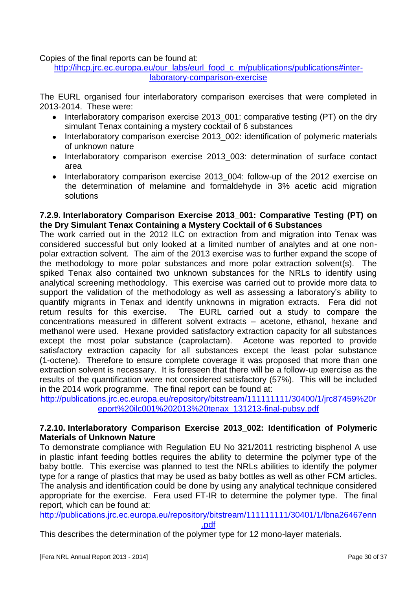Copies of the final reports can be found at:

[http://ihcp.jrc.ec.europa.eu/our\\_labs/eurl\\_food\\_c\\_m/publications/publications#inter](http://ihcp.jrc.ec.europa.eu/our_labs/eurl_food_c_m/publications/publications#inter-laboratory-comparison-exercise)[laboratory-comparison-exercise](http://ihcp.jrc.ec.europa.eu/our_labs/eurl_food_c_m/publications/publications#inter-laboratory-comparison-exercise)

The EURL organised four interlaboratory comparison exercises that were completed in 2013-2014. These were:

- Interlaboratory comparison exercise 2013\_001: comparative testing (PT) on the dry simulant Tenax containing a mystery cocktail of 6 substances
- Interlaboratory comparison exercise 2013\_002: identification of polymeric materials  $\bullet$ of unknown nature
- Interlaboratory comparison exercise 2013\_003: determination of surface contact  $\bullet$ area
- Interlaboratory comparison exercise 2013 004: follow-up of the 2012 exercise on  $\bullet$ the determination of melamine and formaldehyde in 3% acetic acid migration solutions

#### **7.2.9. Interlaboratory Comparison Exercise 2013\_001: Comparative Testing (PT) on the Dry Simulant Tenax Containing a Mystery Cocktail of 6 Substances**

The work carried out in the 2012 ILC on extraction from and migration into Tenax was considered successful but only looked at a limited number of analytes and at one nonpolar extraction solvent. The aim of the 2013 exercise was to further expand the scope of the methodology to more polar substances and more polar extraction solvent(s). The spiked Tenax also contained two unknown substances for the NRLs to identify using analytical screening methodology. This exercise was carried out to provide more data to support the validation of the methodology as well as assessing a laboratory's ability to quantify migrants in Tenax and identify unknowns in migration extracts. Fera did not return results for this exercise. The EURL carried out a study to compare the concentrations measured in different solvent extracts – acetone, ethanol, hexane and methanol were used. Hexane provided satisfactory extraction capacity for all substances except the most polar substance (caprolactam). Acetone was reported to provide satisfactory extraction capacity for all substances except the least polar substance (1-octene). Therefore to ensure complete coverage it was proposed that more than one extraction solvent is necessary. It is foreseen that there will be a follow-up exercise as the results of the quantification were not considered satisfactory (57%). This will be included in the 2014 work programme. The final report can be found at:

[http://publications.jrc.ec.europa.eu/repository/bitstream/111111111/30400/1/jrc87459%20r](http://publications.jrc.ec.europa.eu/repository/bitstream/111111111/30400/1/jrc87459%20report%20ilc001%202013%20tenax_131213-final-pubsy.pdf) [eport%20ilc001%202013%20tenax\\_131213-final-pubsy.pdf](http://publications.jrc.ec.europa.eu/repository/bitstream/111111111/30400/1/jrc87459%20report%20ilc001%202013%20tenax_131213-final-pubsy.pdf)

#### **7.2.10. Interlaboratory Comparison Exercise 2013\_002: Identification of Polymeric Materials of Unknown Nature**

To demonstrate compliance with Regulation EU No 321/2011 restricting bisphenol A use in plastic infant feeding bottles requires the ability to determine the polymer type of the baby bottle. This exercise was planned to test the NRLs abilities to identify the polymer type for a range of plastics that may be used as baby bottles as well as other FCM articles. The analysis and identification could be done by using any analytical technique considered appropriate for the exercise. Fera used FT-IR to determine the polymer type. The final report, which can be found at:

[http://publications.jrc.ec.europa.eu/repository/bitstream/111111111/30401/1/lbna26467enn](http://publications.jrc.ec.europa.eu/repository/bitstream/111111111/30401/1/lbna26467enn.pdf)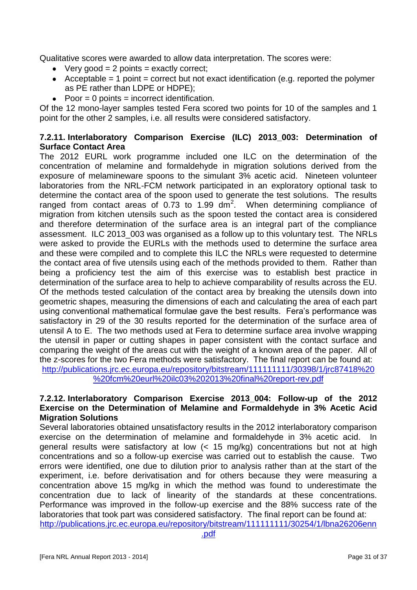Qualitative scores were awarded to allow data interpretation. The scores were:

- $\bullet$  Very good = 2 points = exactly correct;
- Acceptable = 1 point = correct but not exact identification (e.g. reported the polymer as PE rather than LDPE or HDPE);
- $\bullet$  Poor = 0 points = incorrect identification.

Of the 12 mono-layer samples tested Fera scored two points for 10 of the samples and 1 point for the other 2 samples, i.e. all results were considered satisfactory.

#### **7.2.11. Interlaboratory Comparison Exercise (ILC) 2013\_003: Determination of Surface Contact Area**

The 2012 EURL work programme included one ILC on the determination of the concentration of melamine and formaldehyde in migration solutions derived from the exposure of melamineware spoons to the simulant 3% acetic acid. Nineteen volunteer laboratories from the NRL-FCM network participated in an exploratory optional task to determine the contact area of the spoon used to generate the test solutions. The results ranged from contact areas of  $0.73$  to 1.99 dm<sup>2</sup>. When determining compliance of migration from kitchen utensils such as the spoon tested the contact area is considered and therefore determination of the surface area is an integral part of the compliance assessment. ILC 2013\_003 was organised as a follow up to this voluntary test. The NRLs were asked to provide the EURLs with the methods used to determine the surface area and these were compiled and to complete this ILC the NRLs were requested to determine the contact area of five utensils using each of the methods provided to them. Rather than being a proficiency test the aim of this exercise was to establish best practice in determination of the surface area to help to achieve comparability of results across the EU. Of the methods tested calculation of the contact area by breaking the utensils down into geometric shapes, measuring the dimensions of each and calculating the area of each part using conventional mathematical formulae gave the best results. Fera's performance was satisfactory in 29 of the 30 results reported for the determination of the surface area of utensil A to E. The two methods used at Fera to determine surface area involve wrapping the utensil in paper or cutting shapes in paper consistent with the contact surface and comparing the weight of the areas cut with the weight of a known area of the paper. All of the z-scores for the two Fera methods were satisfactory. The final report can be found at: [http://publications.jrc.ec.europa.eu/repository/bitstream/111111111/30398/1/jrc87418%20](http://publications.jrc.ec.europa.eu/repository/bitstream/111111111/30398/1/jrc87418%20%20fcm%20eurl%20ilc03%202013%20final%20report-rev.pdf) [%20fcm%20eurl%20ilc03%202013%20final%20report-rev.pdf](http://publications.jrc.ec.europa.eu/repository/bitstream/111111111/30398/1/jrc87418%20%20fcm%20eurl%20ilc03%202013%20final%20report-rev.pdf)

#### **7.2.12. Interlaboratory Comparison Exercise 2013\_004: Follow-up of the 2012 Exercise on the Determination of Melamine and Formaldehyde in 3% Acetic Acid Migration Solutions**

Several laboratories obtained unsatisfactory results in the 2012 interlaboratory comparison exercise on the determination of melamine and formaldehyde in 3% acetic acid. In general results were satisfactory at low (< 15 mg/kg) concentrations but not at high concentrations and so a follow-up exercise was carried out to establish the cause. Two errors were identified, one due to dilution prior to analysis rather than at the start of the experiment, i.e. before derivatisation and for others because they were measuring a concentration above 15 mg/kg in which the method was found to underestimate the concentration due to lack of linearity of the standards at these concentrations. Performance was improved in the follow-up exercise and the 88% success rate of the laboratories that took part was considered satisfactory. The final report can be found at: [http://publications.jrc.ec.europa.eu/repository/bitstream/111111111/30254/1/lbna26206enn](http://publications.jrc.ec.europa.eu/repository/bitstream/111111111/30254/1/lbna26206enn.pdf)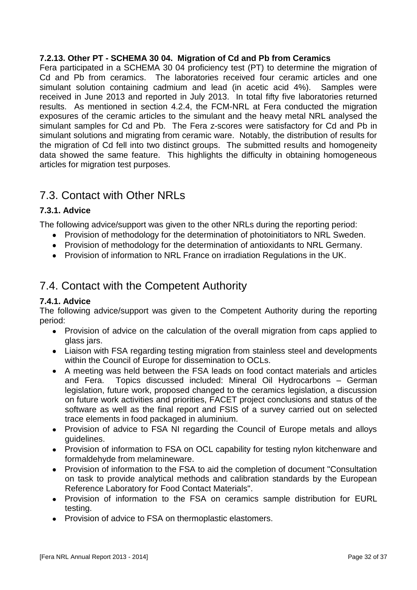#### **7.2.13. Other PT - SCHEMA 30 04. Migration of Cd and Pb from Ceramics**

Fera participated in a SCHEMA 30 04 proficiency test (PT) to determine the migration of Cd and Pb from ceramics. The laboratories received four ceramic articles and one simulant solution containing cadmium and lead (in acetic acid 4%). Samples were received in June 2013 and reported in July 2013. In total fifty five laboratories returned results. As mentioned in section 4.2.4, the FCM-NRL at Fera conducted the migration exposures of the ceramic articles to the simulant and the heavy metal NRL analysed the simulant samples for Cd and Pb. The Fera z-scores were satisfactory for Cd and Pb in simulant solutions and migrating from ceramic ware. Notably, the distribution of results for the migration of Cd fell into two distinct groups. The submitted results and homogeneity data showed the same feature. This highlights the difficulty in obtaining homogeneous articles for migration test purposes.

## 7.3. Contact with Other NRLs

#### **7.3.1. Advice**

The following advice/support was given to the other NRLs during the reporting period:

- Provision of methodology for the determination of photoinitiators to NRL Sweden.
- Provision of methodology for the determination of antioxidants to NRL Germany.
- Provision of information to NRL France on irradiation Regulations in the UK.

## 7.4. Contact with the Competent Authority

#### **7.4.1. Advice**

The following advice/support was given to the Competent Authority during the reporting period:

- Provision of advice on the calculation of the overall migration from caps applied to glass jars.
- Liaison with FSA regarding testing migration from stainless steel and developments within the Council of Europe for dissemination to OCLs.
- A meeting was held between the FSA leads on food contact materials and articles and Fera. Topics discussed included: Mineral Oil Hydrocarbons – German legislation, future work, proposed changed to the ceramics legislation, a discussion on future work activities and priorities, FACET project conclusions and status of the software as well as the final report and FSIS of a survey carried out on selected trace elements in food packaged in aluminium.
- Provision of advice to FSA NI regarding the Council of Europe metals and alloys guidelines.
- Provision of information to FSA on OCL capability for testing nylon kitchenware and formaldehyde from melamineware.
- Provision of information to the FSA to aid the completion of document "Consultation  $\bullet$ on task to provide analytical methods and calibration standards by the European Reference Laboratory for Food Contact Materials".
- Provision of information to the FSA on ceramics sample distribution for EURL testing.
- Provision of advice to FSA on thermoplastic elastomers.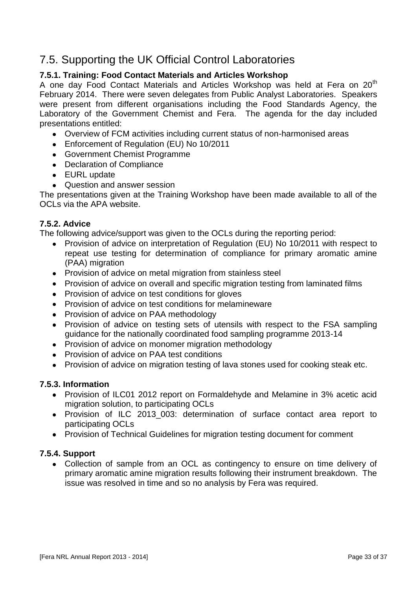## 7.5. Supporting the UK Official Control Laboratories

#### **7.5.1. Training: Food Contact Materials and Articles Workshop**

A one day Food Contact Materials and Articles Workshop was held at Fera on 20<sup>th</sup> February 2014. There were seven delegates from Public Analyst Laboratories. Speakers were present from different organisations including the Food Standards Agency, the Laboratory of the Government Chemist and Fera. The agenda for the day included presentations entitled:

- Overview of FCM activities including current status of non-harmonised areas
- Enforcement of Regulation (EU) No 10/2011
- Government Chemist Programme
- Declaration of Compliance
- EURL update
- Question and answer session

The presentations given at the Training Workshop have been made available to all of the OCLS via the APA website.

#### **7.5.2. Advice**

The following advice/support was given to the OCLs during the reporting period:

- Provision of advice on interpretation of Regulation (EU) No 10/2011 with respect to repeat use testing for determination of compliance for primary aromatic amine (PAA) migration
- Provision of advice on metal migration from stainless steel
- Provision of advice on overall and specific migration testing from laminated films
- Provision of advice on test conditions for gloves
- Provision of advice on test conditions for melamineware
- Provision of advice on PAA methodology
- Provision of advice on testing sets of utensils with respect to the FSA sampling guidance for the nationally coordinated food sampling programme 2013-14
- Provision of advice on monomer migration methodology
- Provision of advice on PAA test conditions
- Provision of advice on migration testing of lava stones used for cooking steak etc.

#### **7.5.3. Information**

- Provision of ILC01 2012 report on Formaldehyde and Melamine in 3% acetic acid migration solution, to participating OCLs
- Provision of ILC 2013 003: determination of surface contact area report to participating OCLs
- Provision of Technical Guidelines for migration testing document for comment

#### **7.5.4. Support**

Collection of sample from an OCL as contingency to ensure on time delivery of primary aromatic amine migration results following their instrument breakdown. The issue was resolved in time and so no analysis by Fera was required.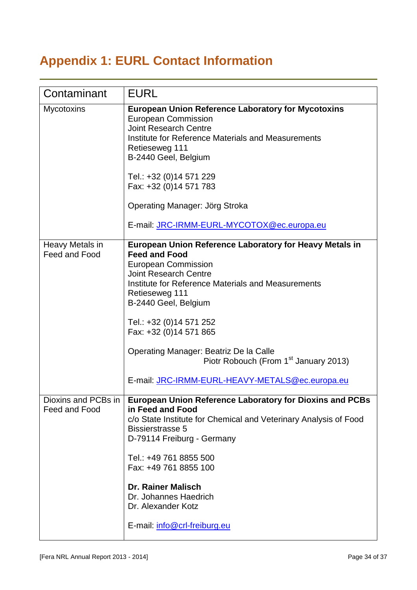## **Appendix 1: EURL Contact Information**

| Contaminant                          | <b>EURL</b>                                                                                                                                                                                                                                                                                                                                                                     |
|--------------------------------------|---------------------------------------------------------------------------------------------------------------------------------------------------------------------------------------------------------------------------------------------------------------------------------------------------------------------------------------------------------------------------------|
| Mycotoxins                           | <b>European Union Reference Laboratory for Mycotoxins</b><br><b>European Commission</b><br><b>Joint Research Centre</b><br>Institute for Reference Materials and Measurements<br>Retieseweg 111<br>B-2440 Geel, Belgium<br>Tel.: +32 (0)14 571 229<br>Fax: +32 (0)14 571 783<br>Operating Manager: Jörg Stroka<br>E-mail: JRC-IRMM-EURL-MYCOTOX@ec.europa.eu                    |
| Heavy Metals in                      | <b>European Union Reference Laboratory for Heavy Metals in</b>                                                                                                                                                                                                                                                                                                                  |
| Feed and Food                        | <b>Feed and Food</b><br><b>European Commission</b><br><b>Joint Research Centre</b><br>Institute for Reference Materials and Measurements<br>Retieseweg 111<br>B-2440 Geel, Belgium<br>Tel.: +32 (0)14 571 252<br>Fax: +32 (0)14 571 865                                                                                                                                         |
|                                      | Operating Manager: Beatriz De la Calle<br>Piotr Robouch (From 1 <sup>st</sup> January 2013)                                                                                                                                                                                                                                                                                     |
|                                      | E-mail: JRC-IRMM-EURL-HEAVY-METALS@ec.europa.eu                                                                                                                                                                                                                                                                                                                                 |
| Dioxins and PCBs in<br>Feed and Food | <b>European Union Reference Laboratory for Dioxins and PCBs</b><br>in Feed and Food<br>c/o State Institute for Chemical and Veterinary Analysis of Food<br><b>Bissierstrasse 5</b><br>D-79114 Freiburg - Germany<br>Tel.: +49 761 8855 500<br>Fax: +49 761 8855 100<br><b>Dr. Rainer Malisch</b><br>Dr. Johannes Haedrich<br>Dr. Alexander Kotz<br>E-mail: info@crl-freiburg.eu |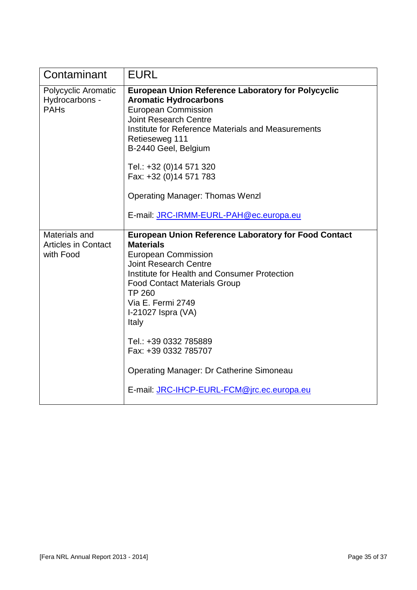| Contaminant                                              | <b>EURL</b>                                                                                                                                                                                                                                                                                                                                                                                                                                                 |
|----------------------------------------------------------|-------------------------------------------------------------------------------------------------------------------------------------------------------------------------------------------------------------------------------------------------------------------------------------------------------------------------------------------------------------------------------------------------------------------------------------------------------------|
| Polycyclic Aromatic<br>Hydrocarbons -<br><b>PAHs</b>     | <b>European Union Reference Laboratory for Polycyclic</b><br><b>Aromatic Hydrocarbons</b><br><b>European Commission</b><br><b>Joint Research Centre</b><br>Institute for Reference Materials and Measurements<br>Retieseweg 111<br>B-2440 Geel, Belgium<br>Tel.: +32 (0)14 571 320<br>Fax: +32 (0)14 571 783<br><b>Operating Manager: Thomas Wenzl</b><br>E-mail: JRC-IRMM-EURL-PAH@ec.europa.eu                                                            |
| Materials and<br><b>Articles in Contact</b><br>with Food | <b>European Union Reference Laboratory for Food Contact</b><br><b>Materials</b><br><b>European Commission</b><br><b>Joint Research Centre</b><br>Institute for Health and Consumer Protection<br><b>Food Contact Materials Group</b><br><b>TP 260</b><br>Via E. Fermi 2749<br>I-21027 Ispra (VA)<br>Italy<br>Tel.: +39 0332 785889<br>Fax: +39 0332 785707<br><b>Operating Manager: Dr Catherine Simoneau</b><br>E-mail: JRC-IHCP-EURL-FCM@jrc.ec.europa.eu |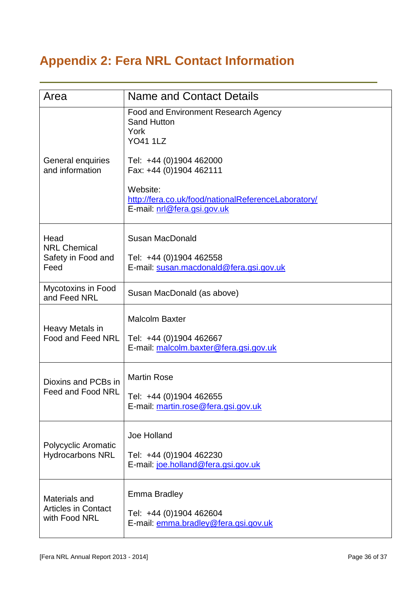# **Appendix 2: Fera NRL Contact Information**

| Area                                                         | <b>Name and Contact Details</b>                                                                |
|--------------------------------------------------------------|------------------------------------------------------------------------------------------------|
| General enquiries<br>and information                         | <b>Food and Environment Research Agency</b><br><b>Sand Hutton</b><br>York<br><b>YO41 1LZ</b>   |
|                                                              | Tel: +44 (0)1904 462000<br>Fax: +44 (0)1904 462111                                             |
|                                                              | Website:<br>http://fera.co.uk/food/nationalReferenceLaboratory/<br>E-mail: nrl@fera.gsi.gov.uk |
| Head<br><b>NRL Chemical</b><br>Safety in Food and<br>Feed    | <b>Susan MacDonald</b>                                                                         |
|                                                              | Tel: +44 (0)1904 462558<br>E-mail: susan.macdonald@fera.gsi.gov.uk                             |
| Mycotoxins in Food<br>and Feed NRL                           | Susan MacDonald (as above)                                                                     |
| Heavy Metals in<br>Food and Feed NRL                         | <b>Malcolm Baxter</b><br>Tel: +44 (0)1904 462667<br>E-mail: malcolm.baxter@fera.gsi.gov.uk     |
| Dioxins and PCBs in<br>Feed and Food NRL                     | <b>Martin Rose</b><br>Tel: +44 (0)1904 462655<br>E-mail: martin.rose@fera.gsi.gov.uk           |
| Polycyclic Aromatic<br><b>Hydrocarbons NRL</b>               | Joe Holland<br>Tel: +44 (0)1904 462230<br>E-mail: joe.holland@fera.gsi.gov.uk                  |
| Materials and<br><b>Articles in Contact</b><br>with Food NRL | <b>Emma Bradley</b><br>Tel: +44 (0)1904 462604<br>E-mail: emma.bradley@fera.gsi.gov.uk         |